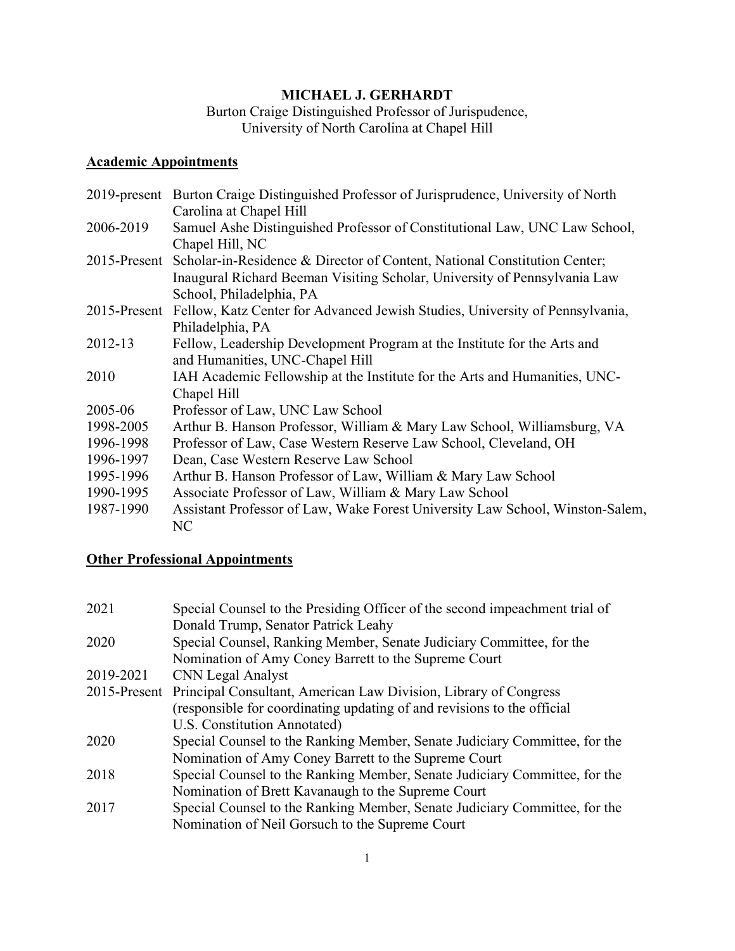# **MICHAEL J. GERHARDT**

Burton Craige Distinguished Professor of Jurispudence, University of North Carolina at Chapel Hill

# **Academic Appointments**

|           | 2019-present Burton Craige Distinguished Professor of Jurisprudence, University of North  |
|-----------|-------------------------------------------------------------------------------------------|
|           | Carolina at Chapel Hill                                                                   |
| 2006-2019 | Samuel Ashe Distinguished Professor of Constitutional Law, UNC Law School,                |
|           | Chapel Hill, NC                                                                           |
|           | 2015-Present Scholar-in-Residence & Director of Content, National Constitution Center;    |
|           | Inaugural Richard Beeman Visiting Scholar, University of Pennsylvania Law                 |
|           | School, Philadelphia, PA                                                                  |
|           | 2015-Present Fellow, Katz Center for Advanced Jewish Studies, University of Pennsylvania, |
|           | Philadelphia, PA                                                                          |
| 2012-13   | Fellow, Leadership Development Program at the Institute for the Arts and                  |
|           | and Humanities, UNC-Chapel Hill                                                           |
| 2010      | IAH Academic Fellowship at the Institute for the Arts and Humanities, UNC-                |
|           | Chapel Hill                                                                               |
| 2005-06   | Professor of Law, UNC Law School                                                          |
| 1998-2005 | Arthur B. Hanson Professor, William & Mary Law School, Williamsburg, VA                   |
| 1996-1998 | Professor of Law, Case Western Reserve Law School, Cleveland, OH                          |
| 1996-1997 | Dean, Case Western Reserve Law School                                                     |
| 1995-1996 | Arthur B. Hanson Professor of Law, William & Mary Law School                              |
| 1990-1995 | Associate Professor of Law, William & Mary Law School                                     |
| 1987-1990 | Assistant Professor of Law, Wake Forest University Law School, Winston-Salem,             |
|           | NC                                                                                        |

# **Other Professional Appointments**

| 2021      | Special Counsel to the Presiding Officer of the second impeachment trial of<br>Donald Trump, Senator Patrick Leahy |
|-----------|--------------------------------------------------------------------------------------------------------------------|
| 2020      | Special Counsel, Ranking Member, Senate Judiciary Committee, for the                                               |
|           | Nomination of Amy Coney Barrett to the Supreme Court                                                               |
| 2019-2021 | CNN Legal Analyst                                                                                                  |
|           | 2015-Present Principal Consultant, American Law Division, Library of Congress                                      |
|           | (responsible for coordinating updating of and revisions to the official                                            |
|           | U.S. Constitution Annotated)                                                                                       |
| 2020      | Special Counsel to the Ranking Member, Senate Judiciary Committee, for the                                         |
|           | Nomination of Amy Coney Barrett to the Supreme Court                                                               |
| 2018      | Special Counsel to the Ranking Member, Senate Judiciary Committee, for the                                         |
|           | Nomination of Brett Kavanaugh to the Supreme Court                                                                 |
| 2017      | Special Counsel to the Ranking Member, Senate Judiciary Committee, for the                                         |
|           | Nomination of Neil Gorsuch to the Supreme Court                                                                    |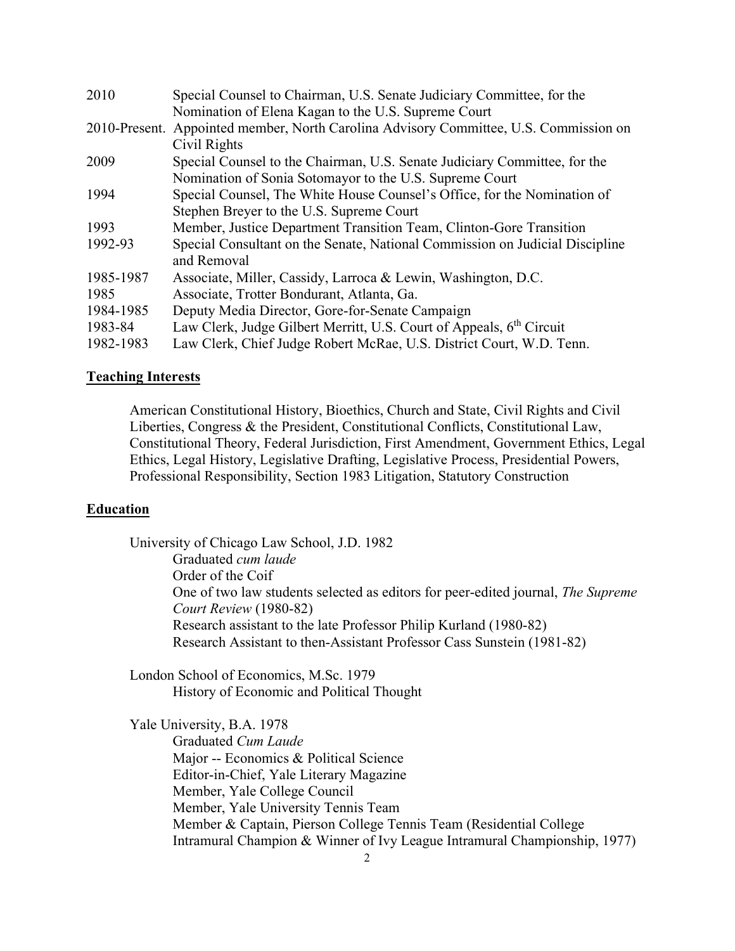| 2010      | Special Counsel to Chairman, U.S. Senate Judiciary Committee, for the                 |
|-----------|---------------------------------------------------------------------------------------|
|           | Nomination of Elena Kagan to the U.S. Supreme Court                                   |
|           | 2010-Present. Appointed member, North Carolina Advisory Committee, U.S. Commission on |
|           | Civil Rights                                                                          |
| 2009      | Special Counsel to the Chairman, U.S. Senate Judiciary Committee, for the             |
|           | Nomination of Sonia Sotomayor to the U.S. Supreme Court                               |
| 1994      | Special Counsel, The White House Counsel's Office, for the Nomination of              |
|           | Stephen Breyer to the U.S. Supreme Court                                              |
| 1993      | Member, Justice Department Transition Team, Clinton-Gore Transition                   |
| 1992-93   | Special Consultant on the Senate, National Commission on Judicial Discipline          |
|           | and Removal                                                                           |
| 1985-1987 | Associate, Miller, Cassidy, Larroca & Lewin, Washington, D.C.                         |
| 1985      | Associate, Trotter Bondurant, Atlanta, Ga.                                            |
| 1984-1985 | Deputy Media Director, Gore-for-Senate Campaign                                       |
| 1983-84   | Law Clerk, Judge Gilbert Merritt, U.S. Court of Appeals, 6 <sup>th</sup> Circuit      |
| 1982-1983 | Law Clerk, Chief Judge Robert McRae, U.S. District Court, W.D. Tenn.                  |

## **Teaching Interests**

American Constitutional History, Bioethics, Church and State, Civil Rights and Civil Liberties, Congress & the President, Constitutional Conflicts, Constitutional Law, Constitutional Theory, Federal Jurisdiction, First Amendment, Government Ethics, Legal Ethics, Legal History, Legislative Drafting, Legislative Process, Presidential Powers, Professional Responsibility, Section 1983 Litigation, Statutory Construction

## **Education**

University of Chicago Law School, J.D. 1982 Graduated *cum laude* Order of the Coif One of two law students selected as editors for peer-edited journal, *The Supreme Court Review* (1980-82) Research assistant to the late Professor Philip Kurland (1980-82) Research Assistant to then-Assistant Professor Cass Sunstein (1981-82)

London School of Economics, M.Sc. 1979 History of Economic and Political Thought

Yale University, B.A. 1978 Graduated *Cum Laude* Major -- Economics & Political Science Editor-in-Chief, Yale Literary Magazine Member, Yale College Council Member, Yale University Tennis Team Member & Captain, Pierson College Tennis Team (Residential College Intramural Champion & Winner of Ivy League Intramural Championship, 1977)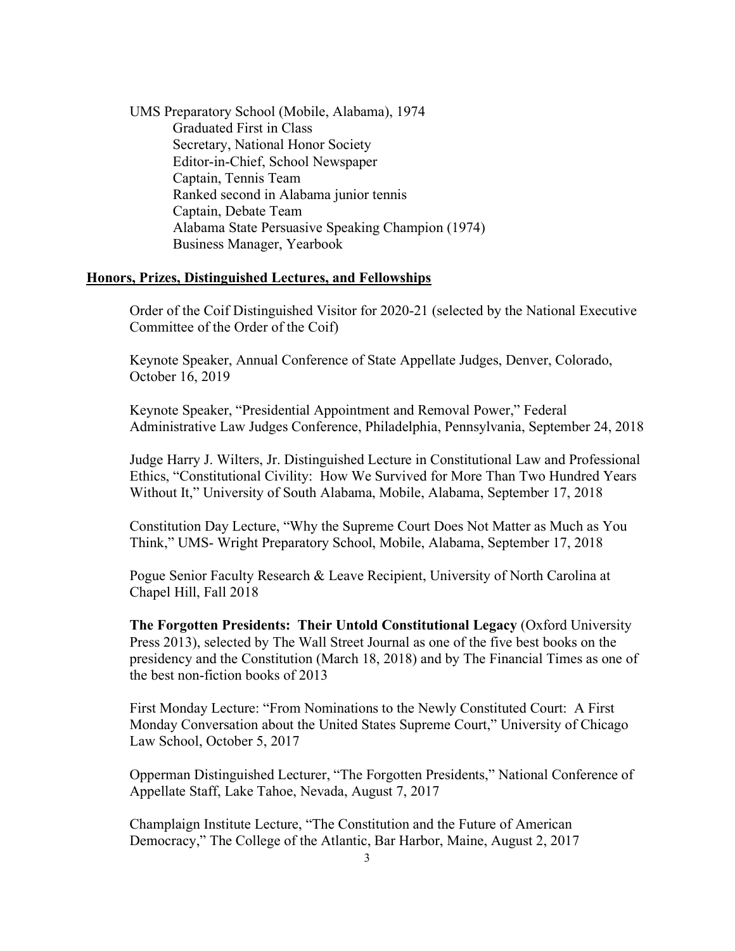UMS Preparatory School (Mobile, Alabama), 1974 Graduated First in Class Secretary, National Honor Society Editor-in-Chief, School Newspaper Captain, Tennis Team Ranked second in Alabama junior tennis Captain, Debate Team Alabama State Persuasive Speaking Champion (1974) Business Manager, Yearbook

## **Honors, Prizes, Distinguished Lectures, and Fellowships**

Order of the Coif Distinguished Visitor for 2020-21 (selected by the National Executive Committee of the Order of the Coif)

Keynote Speaker, Annual Conference of State Appellate Judges, Denver, Colorado, October 16, 2019

Keynote Speaker, "Presidential Appointment and Removal Power," Federal Administrative Law Judges Conference, Philadelphia, Pennsylvania, September 24, 2018

Judge Harry J. Wilters, Jr. Distinguished Lecture in Constitutional Law and Professional Ethics, "Constitutional Civility: How We Survived for More Than Two Hundred Years Without It," University of South Alabama, Mobile, Alabama, September 17, 2018

Constitution Day Lecture, "Why the Supreme Court Does Not Matter as Much as You Think," UMS- Wright Preparatory School, Mobile, Alabama, September 17, 2018

Pogue Senior Faculty Research & Leave Recipient, University of North Carolina at Chapel Hill, Fall 2018

**The Forgotten Presidents: Their Untold Constitutional Legacy** (Oxford University Press 2013), selected by The Wall Street Journal as one of the five best books on the presidency and the Constitution (March 18, 2018) and by The Financial Times as one of the best non-fiction books of 2013

First Monday Lecture: "From Nominations to the Newly Constituted Court: A First Monday Conversation about the United States Supreme Court," University of Chicago Law School, October 5, 2017

Opperman Distinguished Lecturer, "The Forgotten Presidents," National Conference of Appellate Staff, Lake Tahoe, Nevada, August 7, 2017

Champlaign Institute Lecture, "The Constitution and the Future of American Democracy," The College of the Atlantic, Bar Harbor, Maine, August 2, 2017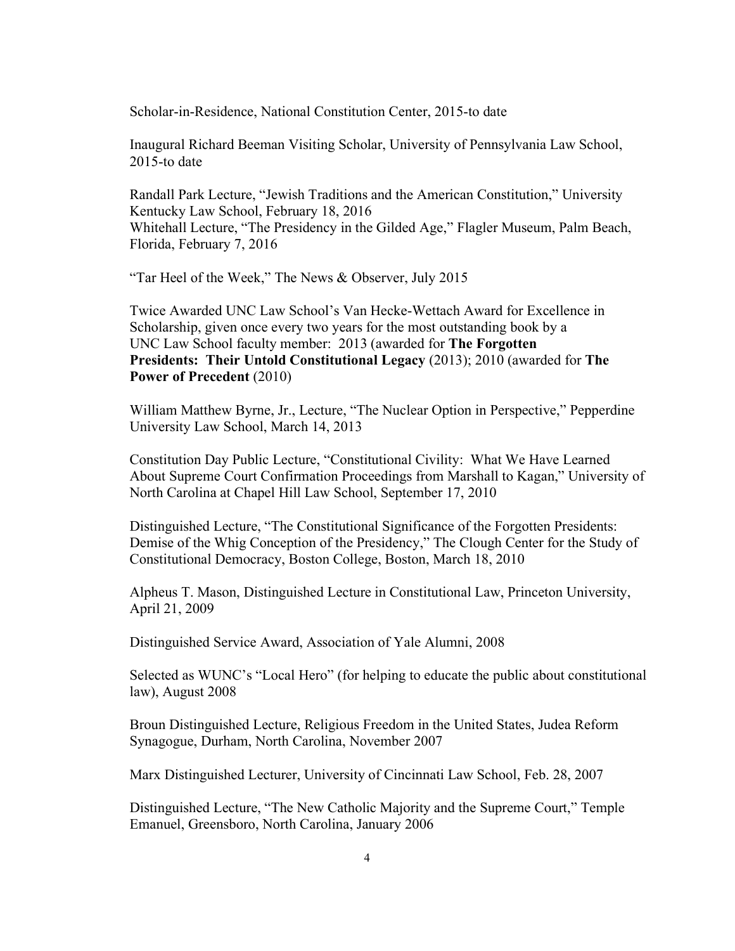Scholar-in-Residence, National Constitution Center, 2015-to date

Inaugural Richard Beeman Visiting Scholar, University of Pennsylvania Law School, 2015-to date

Randall Park Lecture, "Jewish Traditions and the American Constitution," University Kentucky Law School, February 18, 2016 Whitehall Lecture, "The Presidency in the Gilded Age," Flagler Museum, Palm Beach, Florida, February 7, 2016

"Tar Heel of the Week," The News & Observer, July 2015

Twice Awarded UNC Law School's Van Hecke-Wettach Award for Excellence in Scholarship, given once every two years for the most outstanding book by a UNC Law School faculty member: 2013 (awarded for **The Forgotten Presidents: Their Untold Constitutional Legacy** (2013); 2010 (awarded for **The Power of Precedent** (2010)

William Matthew Byrne, Jr., Lecture, "The Nuclear Option in Perspective," Pepperdine University Law School, March 14, 2013

Constitution Day Public Lecture, "Constitutional Civility: What We Have Learned About Supreme Court Confirmation Proceedings from Marshall to Kagan," University of North Carolina at Chapel Hill Law School, September 17, 2010

Distinguished Lecture, "The Constitutional Significance of the Forgotten Presidents: Demise of the Whig Conception of the Presidency," The Clough Center for the Study of Constitutional Democracy, Boston College, Boston, March 18, 2010

Alpheus T. Mason, Distinguished Lecture in Constitutional Law, Princeton University, April 21, 2009

Distinguished Service Award, Association of Yale Alumni, 2008

Selected as WUNC's "Local Hero" (for helping to educate the public about constitutional law), August 2008

Broun Distinguished Lecture, Religious Freedom in the United States, Judea Reform Synagogue, Durham, North Carolina, November 2007

Marx Distinguished Lecturer, University of Cincinnati Law School, Feb. 28, 2007

Distinguished Lecture, "The New Catholic Majority and the Supreme Court," Temple Emanuel, Greensboro, North Carolina, January 2006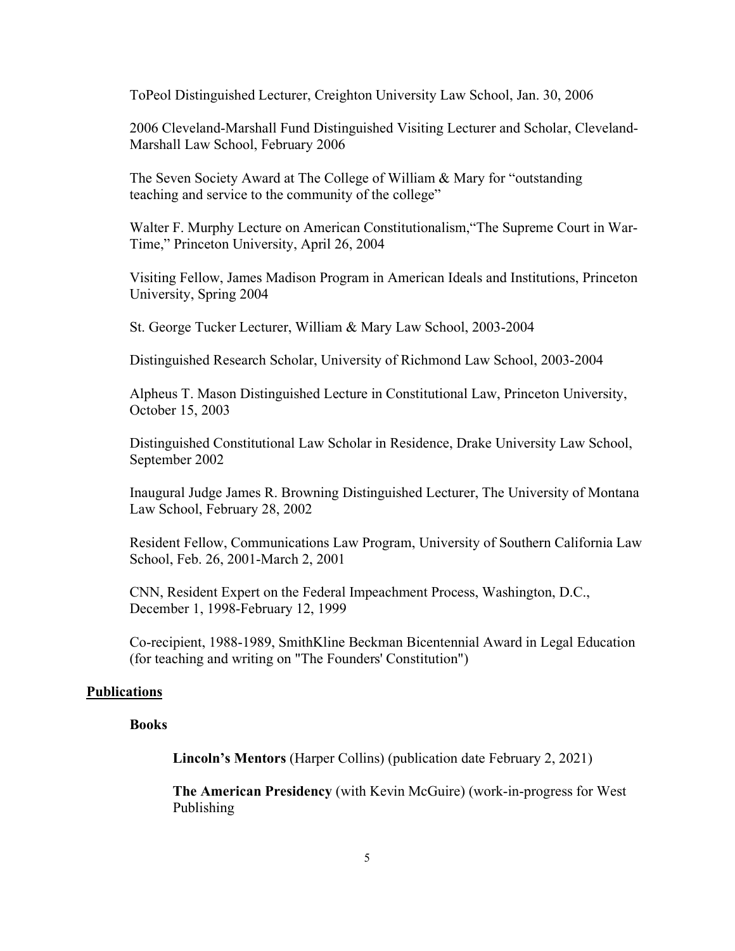ToPeol Distinguished Lecturer, Creighton University Law School, Jan. 30, 2006

2006 Cleveland-Marshall Fund Distinguished Visiting Lecturer and Scholar, Cleveland-Marshall Law School, February 2006

The Seven Society Award at The College of William & Mary for "outstanding teaching and service to the community of the college"

Walter F. Murphy Lecture on American Constitutionalism,"The Supreme Court in War-Time," Princeton University, April 26, 2004

Visiting Fellow, James Madison Program in American Ideals and Institutions, Princeton University, Spring 2004

St. George Tucker Lecturer, William & Mary Law School, 2003-2004

Distinguished Research Scholar, University of Richmond Law School, 2003-2004

Alpheus T. Mason Distinguished Lecture in Constitutional Law, Princeton University, October 15, 2003

Distinguished Constitutional Law Scholar in Residence, Drake University Law School, September 2002

Inaugural Judge James R. Browning Distinguished Lecturer, The University of Montana Law School, February 28, 2002

Resident Fellow, Communications Law Program, University of Southern California Law School, Feb. 26, 2001-March 2, 2001

CNN, Resident Expert on the Federal Impeachment Process, Washington, D.C., December 1, 1998-February 12, 1999

Co-recipient, 1988-1989, SmithKline Beckman Bicentennial Award in Legal Education (for teaching and writing on "The Founders' Constitution")

### **Publications**

#### **Books**

**Lincoln's Mentors** (Harper Collins) (publication date February 2, 2021)

**The American Presidency** (with Kevin McGuire) (work-in-progress for West Publishing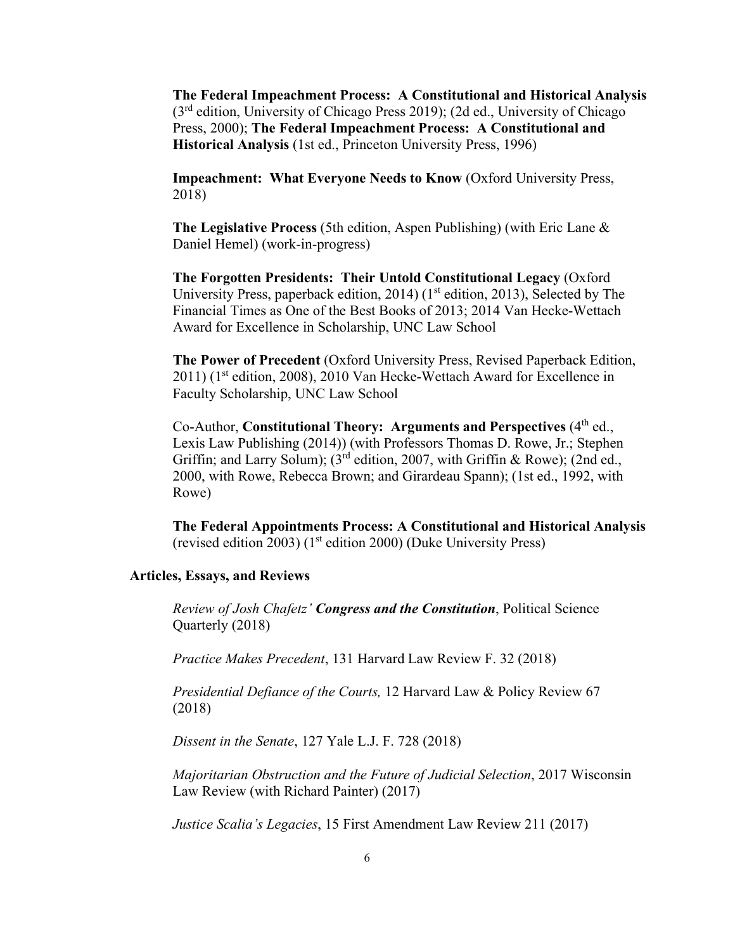**The Federal Impeachment Process: A Constitutional and Historical Analysis**  $(3<sup>rd</sup>$  edition, University of Chicago Press 2019); (2d ed., University of Chicago Press, 2000); **The Federal Impeachment Process: A Constitutional and Historical Analysis** (1st ed., Princeton University Press, 1996)

**Impeachment: What Everyone Needs to Know** (Oxford University Press, 2018)

**The Legislative Process** (5th edition, Aspen Publishing) (with Eric Lane & Daniel Hemel) (work-in-progress)

**The Forgotten Presidents: Their Untold Constitutional Legacy** (Oxford University Press, paperback edition, 2014) ( $1<sup>st</sup>$  edition, 2013), Selected by The Financial Times as One of the Best Books of 2013; 2014 Van Hecke-Wettach Award for Excellence in Scholarship, UNC Law School

**The Power of Precedent** (Oxford University Press, Revised Paperback Edition, 2011) (1<sup>st</sup> edition, 2008), 2010 Van Hecke-Wettach Award for Excellence in Faculty Scholarship, UNC Law School

Co-Author, **Constitutional Theory: Arguments and Perspectives** (4<sup>th</sup> ed., Lexis Law Publishing (2014)) (with Professors Thomas D. Rowe, Jr.; Stephen Griffin; and Larry Solum);  $3^{rd}$  edition, 2007, with Griffin & Rowe); (2nd ed., 2000, with Rowe, Rebecca Brown; and Girardeau Spann); (1st ed., 1992, with Rowe)

**The Federal Appointments Process: A Constitutional and Historical Analysis** (revised edition 2003) (1st edition 2000) (Duke University Press)

#### **Articles, Essays, and Reviews**

*Review of Josh Chafetz' Congress and the Constitution*, Political Science Quarterly (2018)

*Practice Makes Precedent*, 131 Harvard Law Review F. 32 (2018)

*Presidential Defiance of the Courts,* 12 Harvard Law & Policy Review 67 (2018)

*Dissent in the Senate*, 127 Yale L.J. F. 728 (2018)

*Majoritarian Obstruction and the Future of Judicial Selection*, 2017 Wisconsin Law Review (with Richard Painter) (2017)

*Justice Scalia's Legacies*, 15 First Amendment Law Review 211 (2017)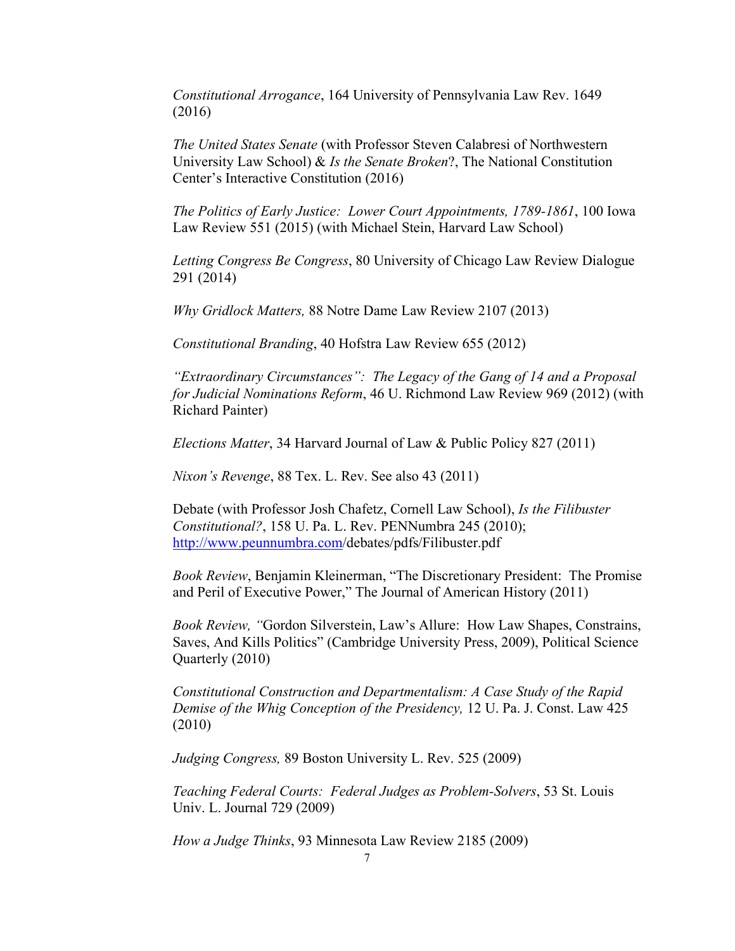*Constitutional Arrogance*, 164 University of Pennsylvania Law Rev. 1649 (2016)

*The United States Senate* (with Professor Steven Calabresi of Northwestern University Law School) & *Is the Senate Broken*?, The National Constitution Center's Interactive Constitution (2016)

*The Politics of Early Justice: Lower Court Appointments, 1789-1861*, 100 Iowa Law Review 551 (2015) (with Michael Stein, Harvard Law School)

*Letting Congress Be Congress*, 80 University of Chicago Law Review Dialogue 291 (2014)

*Why Gridlock Matters,* 88 Notre Dame Law Review 2107 (2013)

*Constitutional Branding*, 40 Hofstra Law Review 655 (2012)

*"Extraordinary Circumstances": The Legacy of the Gang of 14 and a Proposal for Judicial Nominations Reform*, 46 U. Richmond Law Review 969 (2012) (with Richard Painter)

*Elections Matter*, 34 Harvard Journal of Law & Public Policy 827 (2011)

*Nixon's Revenge*, 88 Tex. L. Rev. See also 43 (2011)

Debate (with Professor Josh Chafetz, Cornell Law School), *Is the Filibuster Constitutional?*, 158 U. Pa. L. Rev. PENNumbra 245 (2010); <http://www.peunnumbra.com/>debates/pdfs/Filibuster.pdf

*Book Review*, Benjamin Kleinerman, "The Discretionary President: The Promise and Peril of Executive Power," The Journal of American History (2011)

*Book Review, "*Gordon Silverstein, Law's Allure: How Law Shapes, Constrains, Saves, And Kills Politics" (Cambridge University Press, 2009), Political Science Quarterly (2010)

*Constitutional Construction and Departmentalism: A Case Study of the Rapid Demise of the Whig Conception of the Presidency,* 12 U. Pa. J. Const. Law 425 (2010)

*Judging Congress,* 89 Boston University L. Rev. 525 (2009)

*Teaching Federal Courts: Federal Judges as Problem-Solvers*, 53 St. Louis Univ. L. Journal 729 (2009)

*How a Judge Thinks*, 93 Minnesota Law Review 2185 (2009)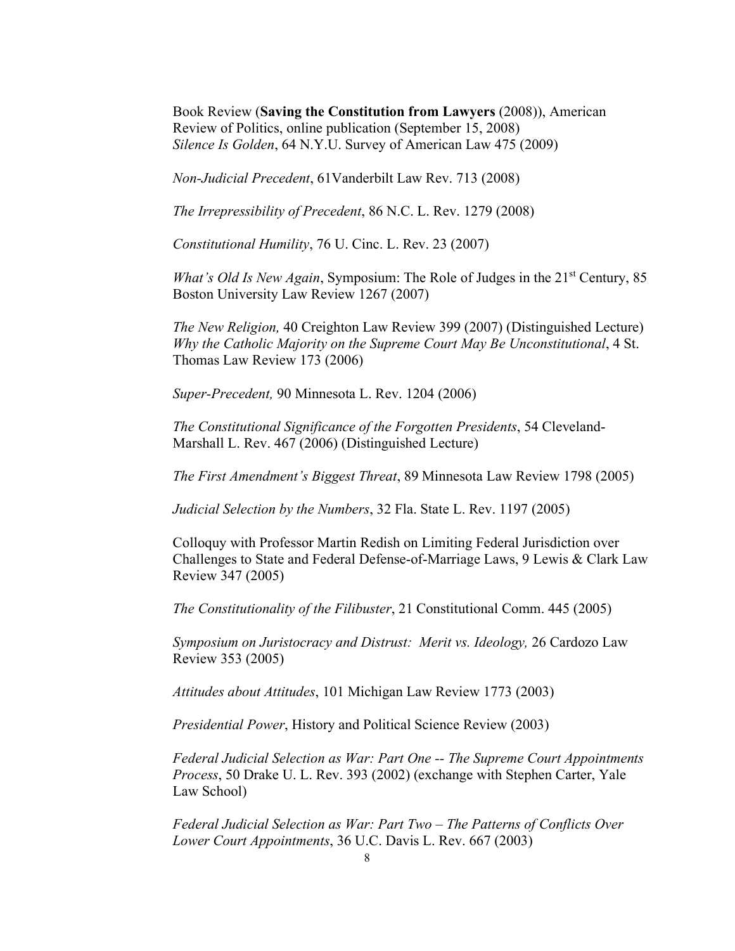Book Review (**Saving the Constitution from Lawyers** (2008)), American Review of Politics, online publication (September 15, 2008) *Silence Is Golden*, 64 N.Y.U. Survey of American Law 475 (2009)

*Non-Judicial Precedent*, 61Vanderbilt Law Rev. 713 (2008)

*The Irrepressibility of Precedent*, 86 N.C. L. Rev. 1279 (2008)

*Constitutional Humility*, 76 U. Cinc. L. Rev. 23 (2007)

*What's Old Is New Again, Symposium: The Role of Judges in the 21<sup>st</sup> Century, 85* Boston University Law Review 1267 (2007)

*The New Religion,* 40 Creighton Law Review 399 (2007) (Distinguished Lecture) *Why the Catholic Majority on the Supreme Court May Be Unconstitutional*, 4 St. Thomas Law Review 173 (2006)

*Super-Precedent,* 90 Minnesota L. Rev. 1204 (2006)

*The Constitutional Significance of the Forgotten Presidents*, 54 Cleveland-Marshall L. Rev. 467 (2006) (Distinguished Lecture)

*The First Amendment's Biggest Threat*, 89 Minnesota Law Review 1798 (2005)

*Judicial Selection by the Numbers*, 32 Fla. State L. Rev. 1197 (2005)

Colloquy with Professor Martin Redish on Limiting Federal Jurisdiction over Challenges to State and Federal Defense-of-Marriage Laws, 9 Lewis & Clark Law Review 347 (2005)

*The Constitutionality of the Filibuster*, 21 Constitutional Comm. 445 (2005)

*Symposium on Juristocracy and Distrust: Merit vs. Ideology,* 26 Cardozo Law Review 353 (2005)

*Attitudes about Attitudes*, 101 Michigan Law Review 1773 (2003)

*Presidential Power*, History and Political Science Review (2003)

*Federal Judicial Selection as War: Part One -- The Supreme Court Appointments Process*, 50 Drake U. L. Rev. 393 (2002) (exchange with Stephen Carter, Yale Law School)

*Federal Judicial Selection as War: Part Two – The Patterns of Conflicts Over Lower Court Appointments*, 36 U.C. Davis L. Rev. 667 (2003)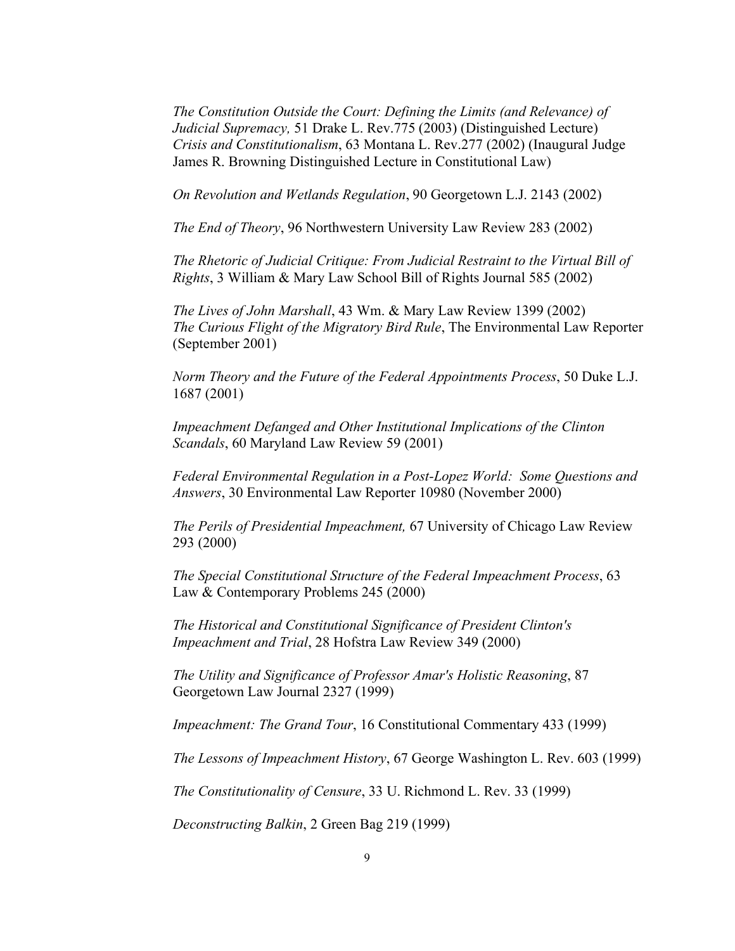*The Constitution Outside the Court: Defining the Limits (and Relevance) of Judicial Supremacy,* 51 Drake L. Rev.775 (2003) (Distinguished Lecture) *Crisis and Constitutionalism*, 63 Montana L. Rev.277 (2002) (Inaugural Judge James R. Browning Distinguished Lecture in Constitutional Law)

*On Revolution and Wetlands Regulation*, 90 Georgetown L.J. 2143 (2002)

*The End of Theory*, 96 Northwestern University Law Review 283 (2002)

*The Rhetoric of Judicial Critique: From Judicial Restraint to the Virtual Bill of Rights*, 3 William & Mary Law School Bill of Rights Journal 585 (2002)

*The Lives of John Marshall*, 43 Wm. & Mary Law Review 1399 (2002) *The Curious Flight of the Migratory Bird Rule*, The Environmental Law Reporter (September 2001)

*Norm Theory and the Future of the Federal Appointments Process*, 50 Duke L.J. 1687 (2001)

*Impeachment Defanged and Other Institutional Implications of the Clinton Scandals*, 60 Maryland Law Review 59 (2001)

*Federal Environmental Regulation in a Post-Lopez World: Some Questions and Answers*, 30 Environmental Law Reporter 10980 (November 2000)

*The Perils of Presidential Impeachment,* 67 University of Chicago Law Review 293 (2000)

*The Special Constitutional Structure of the Federal Impeachment Process*, 63 Law & Contemporary Problems 245 (2000)

*The Historical and Constitutional Significance of President Clinton's Impeachment and Trial*, 28 Hofstra Law Review 349 (2000)

*The Utility and Significance of Professor Amar's Holistic Reasoning*, 87 Georgetown Law Journal 2327 (1999)

*Impeachment: The Grand Tour*, 16 Constitutional Commentary 433 (1999)

*The Lessons of Impeachment History*, 67 George Washington L. Rev. 603 (1999)

*The Constitutionality of Censure*, 33 U. Richmond L. Rev. 33 (1999)

*Deconstructing Balkin*, 2 Green Bag 219 (1999)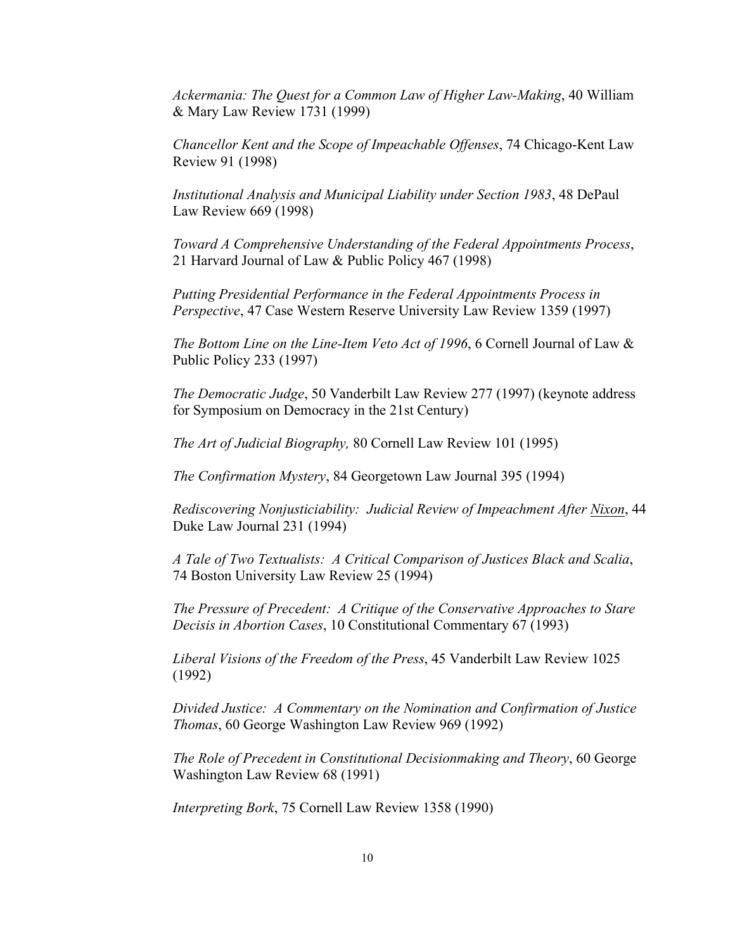*Ackermania: The Quest for a Common Law of Higher Law-Making*, 40 William & Mary Law Review 1731 (1999)

*Chancellor Kent and the Scope of Impeachable Offenses*, 74 Chicago-Kent Law Review 91 (1998)

*Institutional Analysis and Municipal Liability under Section 1983*, 48 DePaul Law Review 669 (1998)

*Toward A Comprehensive Understanding of the Federal Appointments Process*, 21 Harvard Journal of Law & Public Policy 467 (1998)

*Putting Presidential Performance in the Federal Appointments Process in Perspective*, 47 Case Western Reserve University Law Review 1359 (1997)

*The Bottom Line on the Line-Item Veto Act of 1996*, 6 Cornell Journal of Law & Public Policy 233 (1997)

*The Democratic Judge*, 50 Vanderbilt Law Review 277 (1997) (keynote address for Symposium on Democracy in the 21st Century)

*The Art of Judicial Biography,* 80 Cornell Law Review 101 (1995)

*The Confirmation Mystery*, 84 Georgetown Law Journal 395 (1994)

*Rediscovering Nonjusticiability: Judicial Review of Impeachment After Nixon*, 44 Duke Law Journal 231 (1994)

*A Tale of Two Textualists: A Critical Comparison of Justices Black and Scalia*, 74 Boston University Law Review 25 (1994)

*The Pressure of Precedent: A Critique of the Conservative Approaches to Stare Decisis in Abortion Cases*, 10 Constitutional Commentary 67 (1993)

*Liberal Visions of the Freedom of the Press*, 45 Vanderbilt Law Review 1025 (1992)

*Divided Justice: A Commentary on the Nomination and Confirmation of Justice Thomas*, 60 George Washington Law Review 969 (1992)

*The Role of Precedent in Constitutional Decisionmaking and Theory*, 60 George Washington Law Review 68 (1991)

*Interpreting Bork*, 75 Cornell Law Review 1358 (1990)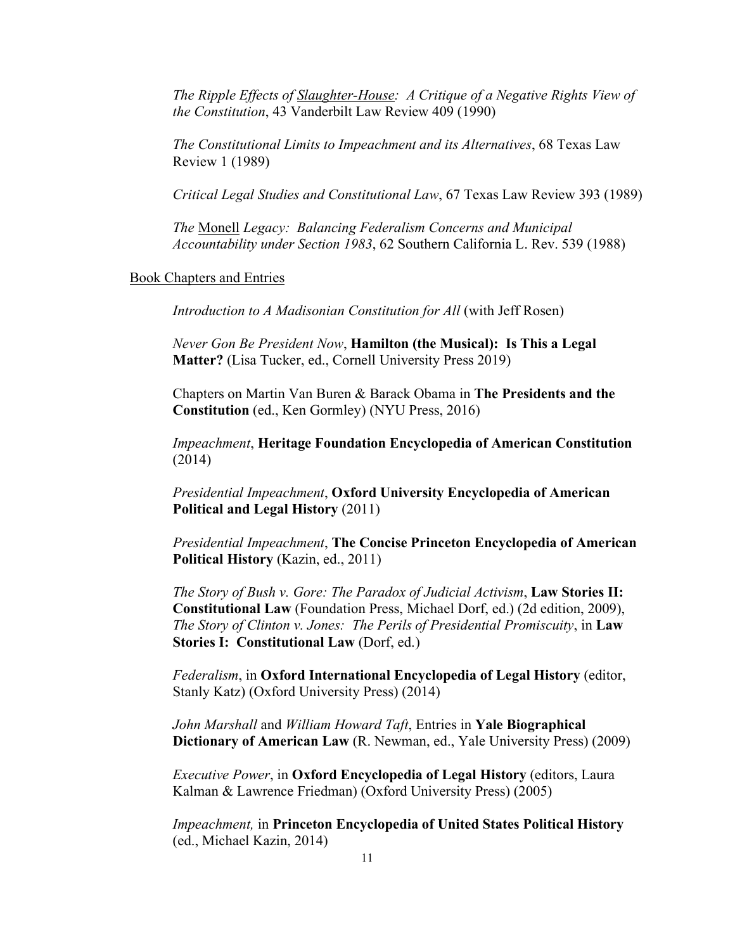*The Ripple Effects of Slaughter-House: A Critique of a Negative Rights View of the Constitution*, 43 Vanderbilt Law Review 409 (1990)

*The Constitutional Limits to Impeachment and its Alternatives*, 68 Texas Law Review 1 (1989)

*Critical Legal Studies and Constitutional Law*, 67 Texas Law Review 393 (1989)

*The* Monell *Legacy: Balancing Federalism Concerns and Municipal Accountability under Section 1983*, 62 Southern California L. Rev. 539 (1988)

#### Book Chapters and Entries

*Introduction to A Madisonian Constitution for All* (with Jeff Rosen)

*Never Gon Be President Now*, **Hamilton (the Musical): Is This a Legal Matter?** (Lisa Tucker, ed., Cornell University Press 2019)

Chapters on Martin Van Buren & Barack Obama in **The Presidents and the Constitution** (ed., Ken Gormley) (NYU Press, 2016)

*Impeachment*, **Heritage Foundation Encyclopedia of American Constitution** (2014)

*Presidential Impeachment*, **Oxford University Encyclopedia of American Political and Legal History** (2011)

*Presidential Impeachment*, **The Concise Princeton Encyclopedia of American Political History** (Kazin, ed., 2011)

*The Story of Bush v. Gore: The Paradox of Judicial Activism*, **Law Stories II: Constitutional Law** (Foundation Press, Michael Dorf, ed.) (2d edition, 2009), *The Story of Clinton v. Jones: The Perils of Presidential Promiscuity*, in **Law Stories I: Constitutional Law** (Dorf, ed.)

*Federalism*, in **Oxford International Encyclopedia of Legal History** (editor, Stanly Katz) (Oxford University Press) (2014)

*John Marshall* and *William Howard Taft*, Entries in **Yale Biographical Dictionary of American Law** (R. Newman, ed., Yale University Press) (2009)

*Executive Power*, in **Oxford Encyclopedia of Legal History** (editors, Laura Kalman & Lawrence Friedman) (Oxford University Press) (2005)

*Impeachment,* in **Princeton Encyclopedia of United States Political History** (ed., Michael Kazin, 2014)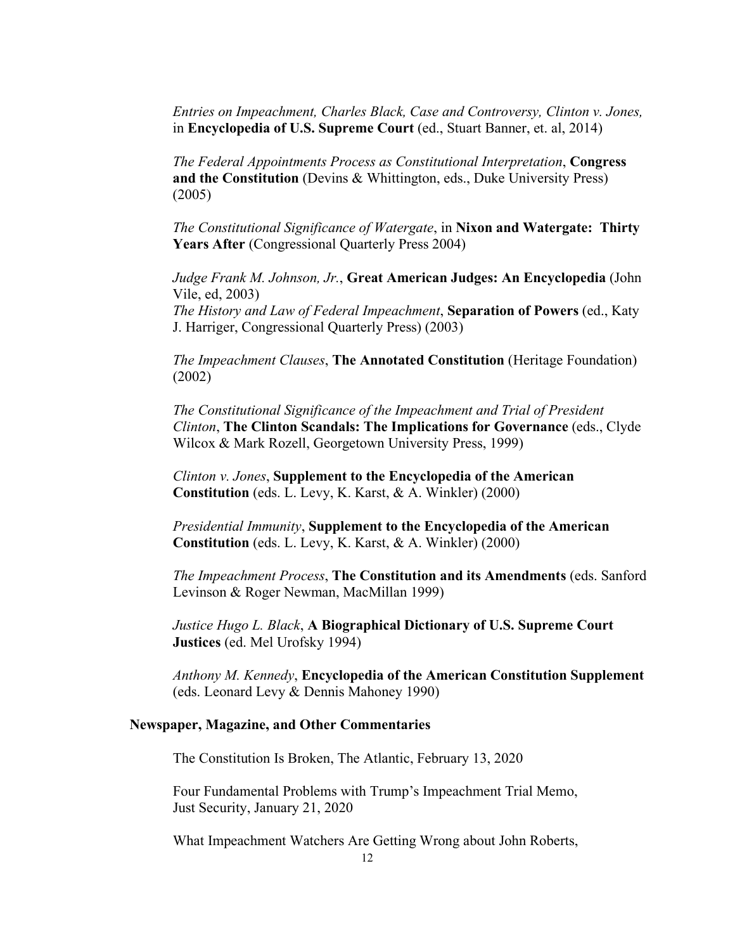*Entries on Impeachment, Charles Black, Case and Controversy, Clinton v. Jones,*  in **Encyclopedia of U.S. Supreme Court** (ed., Stuart Banner, et. al, 2014)

*The Federal Appointments Process as Constitutional Interpretation*, **Congress and the Constitution** (Devins & Whittington, eds., Duke University Press) (2005)

*The Constitutional Significance of Watergate*, in **Nixon and Watergate: Thirty Years After** (Congressional Quarterly Press 2004)

*Judge Frank M. Johnson, Jr.*, **Great American Judges: An Encyclopedia** (John Vile, ed, 2003)

*The History and Law of Federal Impeachment*, **Separation of Powers** (ed., Katy J. Harriger, Congressional Quarterly Press) (2003)

*The Impeachment Clauses*, **The Annotated Constitution** (Heritage Foundation) (2002)

*The Constitutional Significance of the Impeachment and Trial of President Clinton*, **The Clinton Scandals: The Implications for Governance** (eds., Clyde Wilcox & Mark Rozell, Georgetown University Press, 1999)

*Clinton v. Jones*, **Supplement to the Encyclopedia of the American Constitution** (eds. L. Levy, K. Karst, & A. Winkler) (2000)

*Presidential Immunity*, **Supplement to the Encyclopedia of the American Constitution** (eds. L. Levy, K. Karst, & A. Winkler) (2000)

*The Impeachment Process*, **The Constitution and its Amendments** (eds. Sanford Levinson & Roger Newman, MacMillan 1999)

*Justice Hugo L. Black*, **A Biographical Dictionary of U.S. Supreme Court Justices** (ed. Mel Urofsky 1994)

*Anthony M. Kennedy*, **Encyclopedia of the American Constitution Supplement** (eds. Leonard Levy & Dennis Mahoney 1990)

#### **Newspaper, Magazine, and Other Commentaries**

The Constitution Is Broken, The Atlantic, February 13, 2020

Four Fundamental Problems with Trump's Impeachment Trial Memo, Just Security, January 21, 2020

What Impeachment Watchers Are Getting Wrong about John Roberts,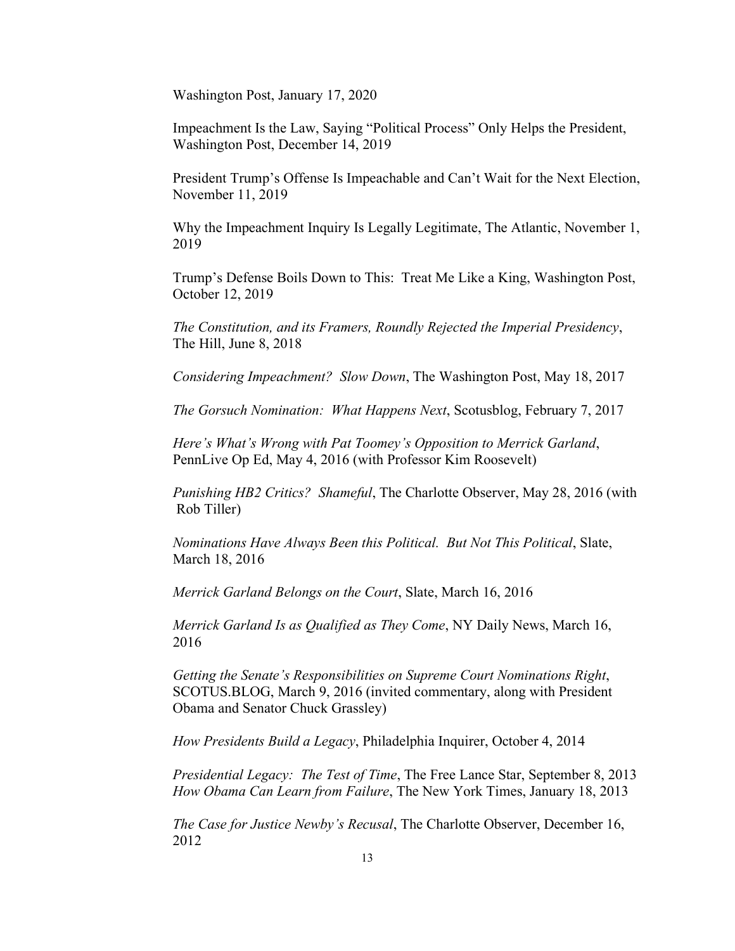Washington Post, January 17, 2020

Impeachment Is the Law, Saying "Political Process" Only Helps the President, Washington Post, December 14, 2019

President Trump's Offense Is Impeachable and Can't Wait for the Next Election, November 11, 2019

Why the Impeachment Inquiry Is Legally Legitimate, The Atlantic, November 1, 2019

Trump's Defense Boils Down to This: Treat Me Like a King, Washington Post, October 12, 2019

*The Constitution, and its Framers, Roundly Rejected the Imperial Presidency*, The Hill, June 8, 2018

*Considering Impeachment? Slow Down*, The Washington Post, May 18, 2017

*The Gorsuch Nomination: What Happens Next*, Scotusblog, February 7, 2017

*Here's What's Wrong with Pat Toomey's Opposition to Merrick Garland*, PennLive Op Ed, May 4, 2016 (with Professor Kim Roosevelt)

*Punishing HB2 Critics? Shameful*, The Charlotte Observer, May 28, 2016 (with Rob Tiller)

*Nominations Have Always Been this Political. But Not This Political*, Slate, March 18, 2016

*Merrick Garland Belongs on the Court*, Slate, March 16, 2016

*Merrick Garland Is as Qualified as They Come*, NY Daily News, March 16, 2016

*Getting the Senate's Responsibilities on Supreme Court Nominations Right*, SCOTUS.BLOG, March 9, 2016 (invited commentary, along with President Obama and Senator Chuck Grassley)

*How Presidents Build a Legacy*, Philadelphia Inquirer, October 4, 2014

*Presidential Legacy: The Test of Time*, The Free Lance Star, September 8, 2013 *How Obama Can Learn from Failure*, The New York Times, January 18, 2013

*The Case for Justice Newby's Recusal*, The Charlotte Observer, December 16, 2012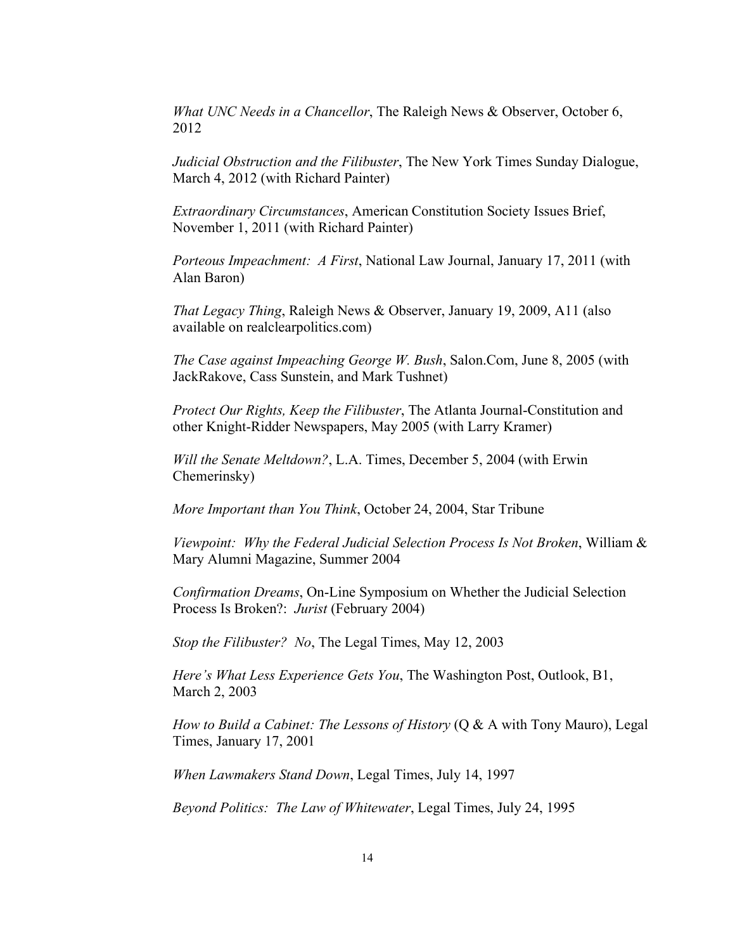*What UNC Needs in a Chancellor*, The Raleigh News & Observer, October 6, 2012

*Judicial Obstruction and the Filibuster*, The New York Times Sunday Dialogue, March 4, 2012 (with Richard Painter)

*Extraordinary Circumstances*, American Constitution Society Issues Brief, November 1, 2011 (with Richard Painter)

*Porteous Impeachment: A First*, National Law Journal, January 17, 2011 (with Alan Baron)

*That Legacy Thing*, Raleigh News & Observer, January 19, 2009, A11 (also available on realclearpolitics.com)

*The Case against Impeaching George W. Bush*, Salon.Com, June 8, 2005 (with JackRakove, Cass Sunstein, and Mark Tushnet)

*Protect Our Rights, Keep the Filibuster*, The Atlanta Journal-Constitution and other Knight-Ridder Newspapers, May 2005 (with Larry Kramer)

*Will the Senate Meltdown?*, L.A. Times, December 5, 2004 (with Erwin Chemerinsky)

*More Important than You Think*, October 24, 2004, Star Tribune

*Viewpoint: Why the Federal Judicial Selection Process Is Not Broken*, William & Mary Alumni Magazine, Summer 2004

*Confirmation Dreams*, On-Line Symposium on Whether the Judicial Selection Process Is Broken?: *Jurist* (February 2004)

*Stop the Filibuster? No*, The Legal Times, May 12, 2003

*Here's What Less Experience Gets You*, The Washington Post, Outlook, B1, March 2, 2003

*How to Build a Cabinet: The Lessons of History* (Q & A with Tony Mauro), Legal Times, January 17, 2001

*When Lawmakers Stand Down*, Legal Times, July 14, 1997

*Beyond Politics: The Law of Whitewater*, Legal Times, July 24, 1995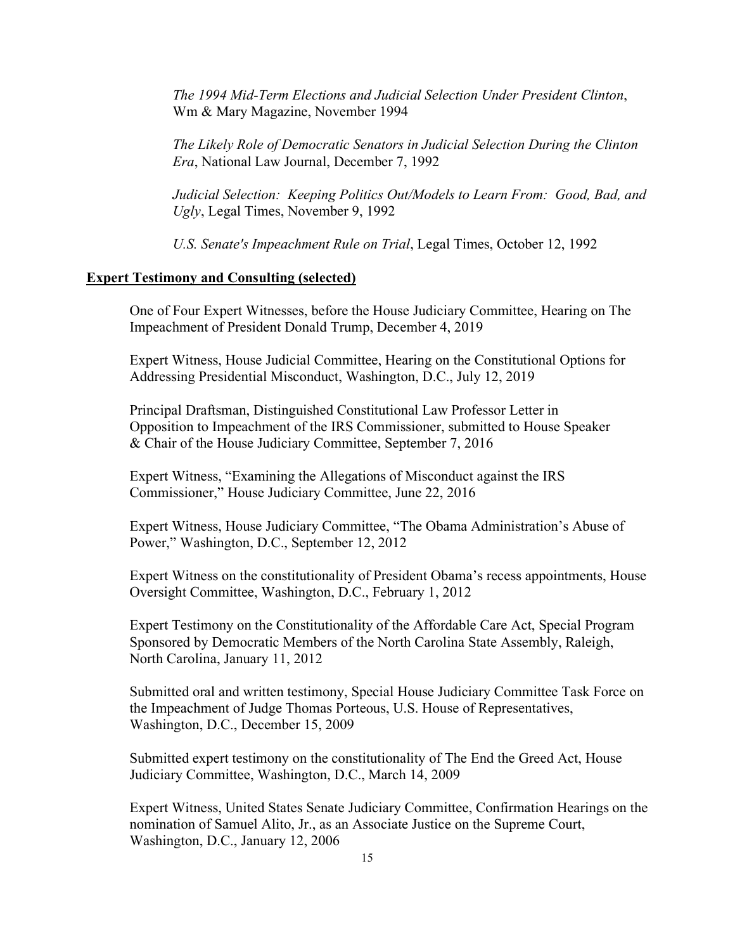*The 1994 Mid-Term Elections and Judicial Selection Under President Clinton*, Wm & Mary Magazine, November 1994

*The Likely Role of Democratic Senators in Judicial Selection During the Clinton Era*, National Law Journal, December 7, 1992

*Judicial Selection: Keeping Politics Out/Models to Learn From: Good, Bad, and Ugly*, Legal Times, November 9, 1992

*U.S. Senate's Impeachment Rule on Trial*, Legal Times, October 12, 1992

## **Expert Testimony and Consulting (selected)**

One of Four Expert Witnesses, before the House Judiciary Committee, Hearing on The Impeachment of President Donald Trump, December 4, 2019

Expert Witness, House Judicial Committee, Hearing on the Constitutional Options for Addressing Presidential Misconduct, Washington, D.C., July 12, 2019

Principal Draftsman, Distinguished Constitutional Law Professor Letter in Opposition to Impeachment of the IRS Commissioner, submitted to House Speaker & Chair of the House Judiciary Committee, September 7, 2016

Expert Witness, "Examining the Allegations of Misconduct against the IRS Commissioner," House Judiciary Committee, June 22, 2016

Expert Witness, House Judiciary Committee, "The Obama Administration's Abuse of Power," Washington, D.C., September 12, 2012

Expert Witness on the constitutionality of President Obama's recess appointments, House Oversight Committee, Washington, D.C., February 1, 2012

Expert Testimony on the Constitutionality of the Affordable Care Act, Special Program Sponsored by Democratic Members of the North Carolina State Assembly, Raleigh, North Carolina, January 11, 2012

Submitted oral and written testimony, Special House Judiciary Committee Task Force on the Impeachment of Judge Thomas Porteous, U.S. House of Representatives, Washington, D.C., December 15, 2009

Submitted expert testimony on the constitutionality of The End the Greed Act, House Judiciary Committee, Washington, D.C., March 14, 2009

Expert Witness, United States Senate Judiciary Committee, Confirmation Hearings on the nomination of Samuel Alito, Jr., as an Associate Justice on the Supreme Court, Washington, D.C., January 12, 2006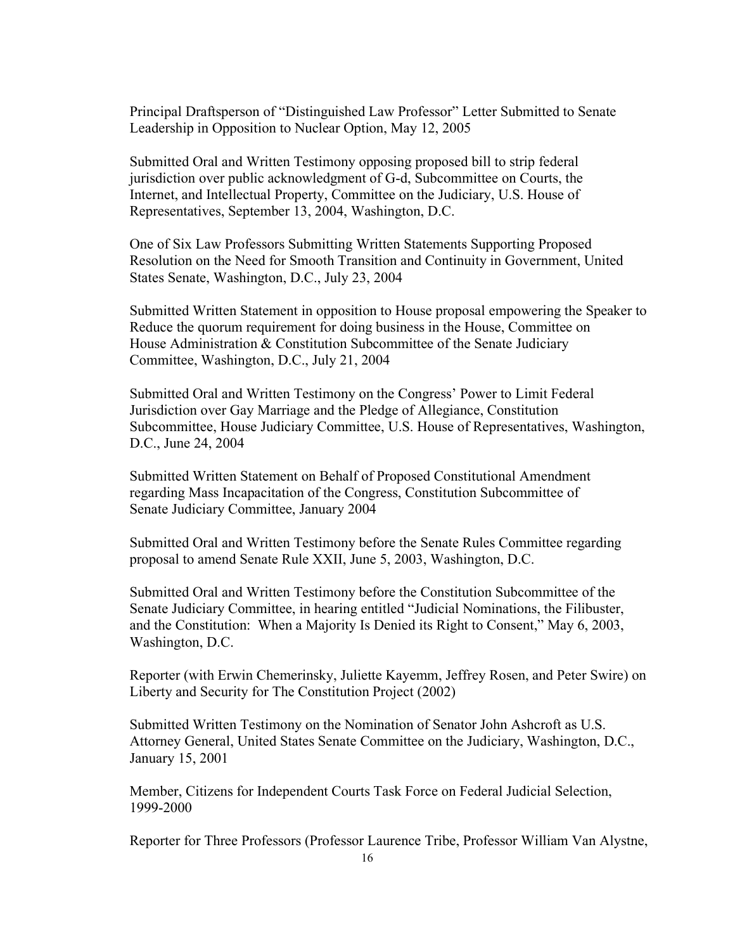Principal Draftsperson of "Distinguished Law Professor" Letter Submitted to Senate Leadership in Opposition to Nuclear Option, May 12, 2005

Submitted Oral and Written Testimony opposing proposed bill to strip federal jurisdiction over public acknowledgment of G-d, Subcommittee on Courts, the Internet, and Intellectual Property, Committee on the Judiciary, U.S. House of Representatives, September 13, 2004, Washington, D.C.

One of Six Law Professors Submitting Written Statements Supporting Proposed Resolution on the Need for Smooth Transition and Continuity in Government, United States Senate, Washington, D.C., July 23, 2004

Submitted Written Statement in opposition to House proposal empowering the Speaker to Reduce the quorum requirement for doing business in the House, Committee on House Administration & Constitution Subcommittee of the Senate Judiciary Committee, Washington, D.C., July 21, 2004

Submitted Oral and Written Testimony on the Congress' Power to Limit Federal Jurisdiction over Gay Marriage and the Pledge of Allegiance, Constitution Subcommittee, House Judiciary Committee, U.S. House of Representatives, Washington, D.C., June 24, 2004

Submitted Written Statement on Behalf of Proposed Constitutional Amendment regarding Mass Incapacitation of the Congress, Constitution Subcommittee of Senate Judiciary Committee, January 2004

Submitted Oral and Written Testimony before the Senate Rules Committee regarding proposal to amend Senate Rule XXII, June 5, 2003, Washington, D.C.

Submitted Oral and Written Testimony before the Constitution Subcommittee of the Senate Judiciary Committee, in hearing entitled "Judicial Nominations, the Filibuster, and the Constitution: When a Majority Is Denied its Right to Consent," May 6, 2003, Washington, D.C.

Reporter (with Erwin Chemerinsky, Juliette Kayemm, Jeffrey Rosen, and Peter Swire) on Liberty and Security for The Constitution Project (2002)

Submitted Written Testimony on the Nomination of Senator John Ashcroft as U.S. Attorney General, United States Senate Committee on the Judiciary, Washington, D.C., January 15, 2001

Member, Citizens for Independent Courts Task Force on Federal Judicial Selection, 1999-2000

Reporter for Three Professors (Professor Laurence Tribe, Professor William Van Alystne,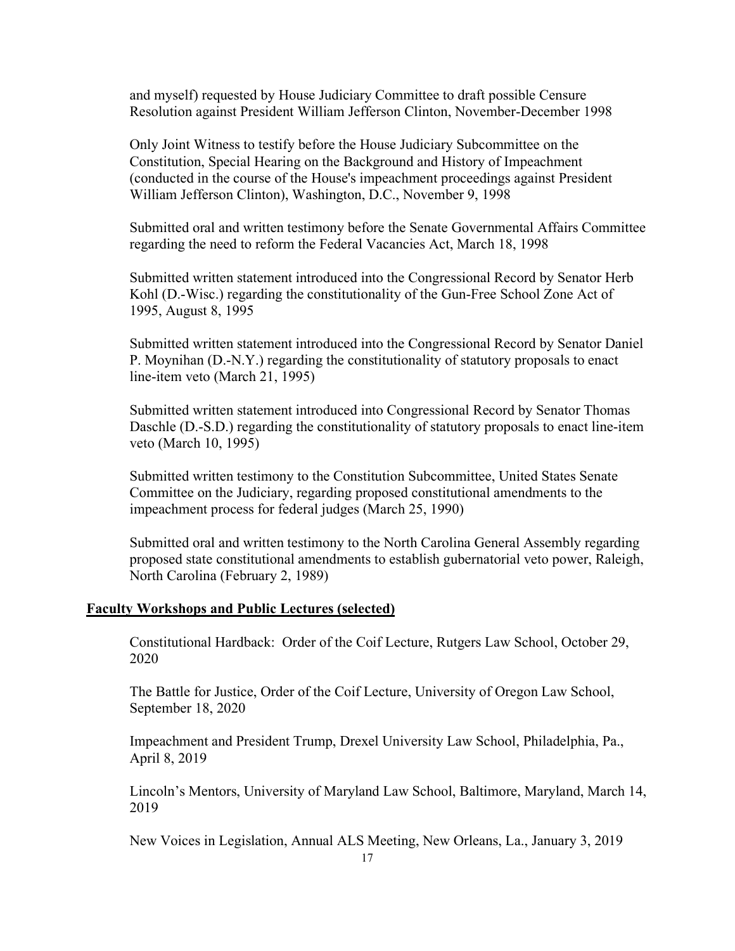and myself) requested by House Judiciary Committee to draft possible Censure Resolution against President William Jefferson Clinton, November-December 1998

Only Joint Witness to testify before the House Judiciary Subcommittee on the Constitution, Special Hearing on the Background and History of Impeachment (conducted in the course of the House's impeachment proceedings against President William Jefferson Clinton), Washington, D.C., November 9, 1998

Submitted oral and written testimony before the Senate Governmental Affairs Committee regarding the need to reform the Federal Vacancies Act, March 18, 1998

Submitted written statement introduced into the Congressional Record by Senator Herb Kohl (D.-Wisc.) regarding the constitutionality of the Gun-Free School Zone Act of 1995, August 8, 1995

Submitted written statement introduced into the Congressional Record by Senator Daniel P. Moynihan (D.-N.Y.) regarding the constitutionality of statutory proposals to enact line-item veto (March 21, 1995)

Submitted written statement introduced into Congressional Record by Senator Thomas Daschle (D.-S.D.) regarding the constitutionality of statutory proposals to enact line-item veto (March 10, 1995)

Submitted written testimony to the Constitution Subcommittee, United States Senate Committee on the Judiciary, regarding proposed constitutional amendments to the impeachment process for federal judges (March 25, 1990)

Submitted oral and written testimony to the North Carolina General Assembly regarding proposed state constitutional amendments to establish gubernatorial veto power, Raleigh, North Carolina (February 2, 1989)

## **Faculty Workshops and Public Lectures (selected)**

Constitutional Hardback: Order of the Coif Lecture, Rutgers Law School, October 29, 2020

The Battle for Justice, Order of the Coif Lecture, University of Oregon Law School, September 18, 2020

Impeachment and President Trump, Drexel University Law School, Philadelphia, Pa., April 8, 2019

Lincoln's Mentors, University of Maryland Law School, Baltimore, Maryland, March 14, 2019

New Voices in Legislation, Annual ALS Meeting, New Orleans, La., January 3, 2019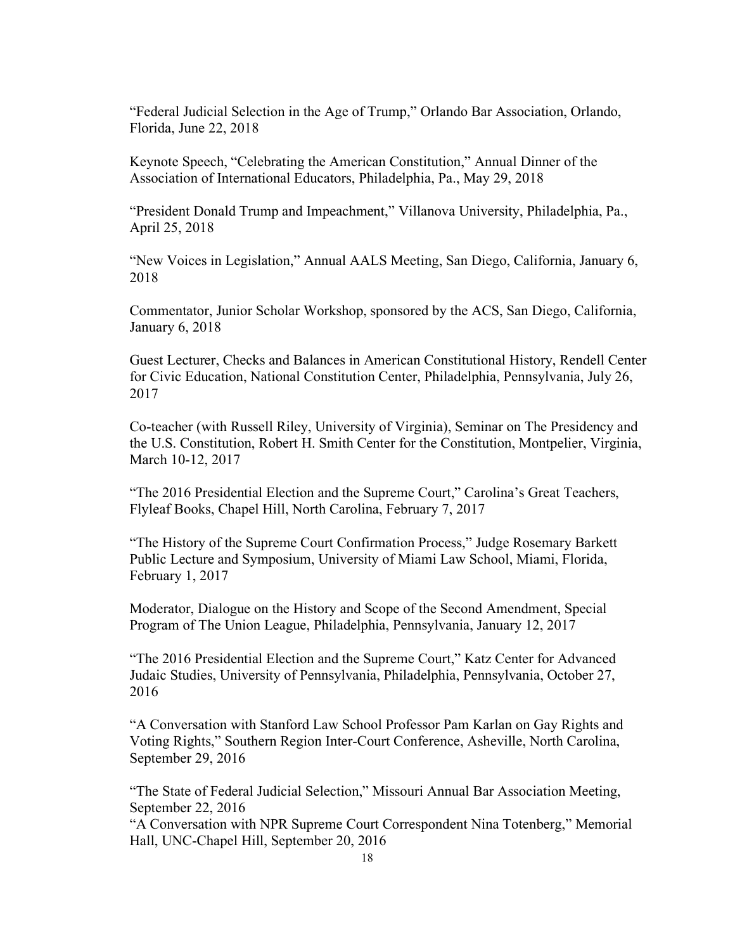"Federal Judicial Selection in the Age of Trump," Orlando Bar Association, Orlando, Florida, June 22, 2018

Keynote Speech, "Celebrating the American Constitution," Annual Dinner of the Association of International Educators, Philadelphia, Pa., May 29, 2018

"President Donald Trump and Impeachment," Villanova University, Philadelphia, Pa., April 25, 2018

"New Voices in Legislation," Annual AALS Meeting, San Diego, California, January 6, 2018

Commentator, Junior Scholar Workshop, sponsored by the ACS, San Diego, California, January 6, 2018

Guest Lecturer, Checks and Balances in American Constitutional History, Rendell Center for Civic Education, National Constitution Center, Philadelphia, Pennsylvania, July 26, 2017

Co-teacher (with Russell Riley, University of Virginia), Seminar on The Presidency and the U.S. Constitution, Robert H. Smith Center for the Constitution, Montpelier, Virginia, March 10-12, 2017

"The 2016 Presidential Election and the Supreme Court," Carolina's Great Teachers, Flyleaf Books, Chapel Hill, North Carolina, February 7, 2017

"The History of the Supreme Court Confirmation Process," Judge Rosemary Barkett Public Lecture and Symposium, University of Miami Law School, Miami, Florida, February 1, 2017

Moderator, Dialogue on the History and Scope of the Second Amendment, Special Program of The Union League, Philadelphia, Pennsylvania, January 12, 2017

"The 2016 Presidential Election and the Supreme Court," Katz Center for Advanced Judaic Studies, University of Pennsylvania, Philadelphia, Pennsylvania, October 27, 2016

"A Conversation with Stanford Law School Professor Pam Karlan on Gay Rights and Voting Rights," Southern Region Inter-Court Conference, Asheville, North Carolina, September 29, 2016

"The State of Federal Judicial Selection," Missouri Annual Bar Association Meeting, September 22, 2016

"A Conversation with NPR Supreme Court Correspondent Nina Totenberg," Memorial Hall, UNC-Chapel Hill, September 20, 2016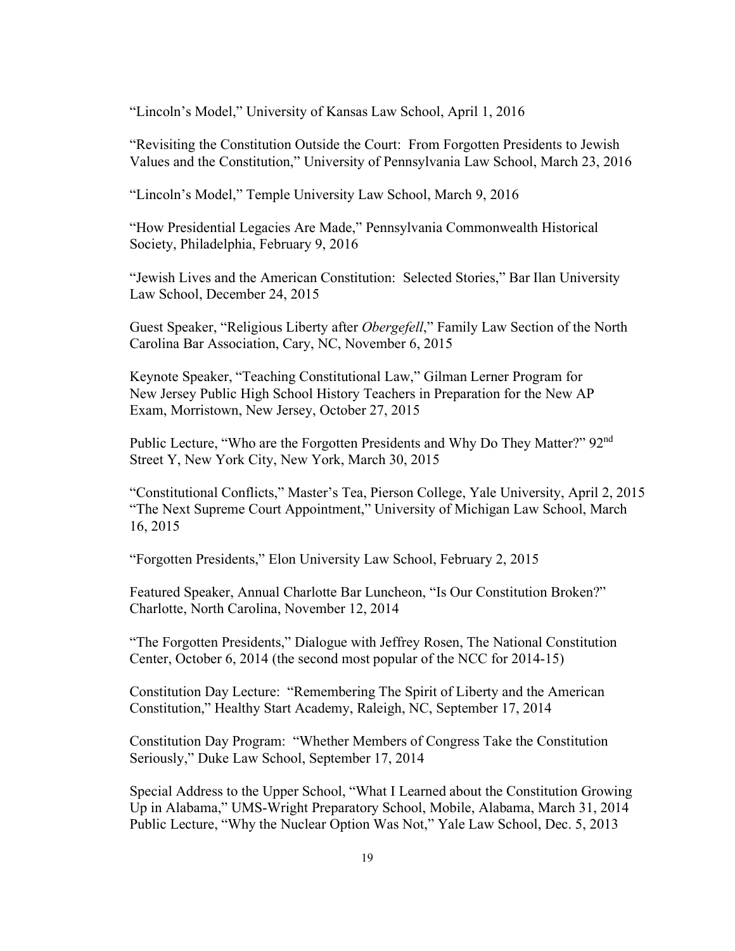"Lincoln's Model," University of Kansas Law School, April 1, 2016

"Revisiting the Constitution Outside the Court: From Forgotten Presidents to Jewish Values and the Constitution," University of Pennsylvania Law School, March 23, 2016

"Lincoln's Model," Temple University Law School, March 9, 2016

"How Presidential Legacies Are Made," Pennsylvania Commonwealth Historical Society, Philadelphia, February 9, 2016

"Jewish Lives and the American Constitution: Selected Stories," Bar Ilan University Law School, December 24, 2015

Guest Speaker, "Religious Liberty after *Obergefell*," Family Law Section of the North Carolina Bar Association, Cary, NC, November 6, 2015

Keynote Speaker, "Teaching Constitutional Law," Gilman Lerner Program for New Jersey Public High School History Teachers in Preparation for the New AP Exam, Morristown, New Jersey, October 27, 2015

Public Lecture, "Who are the Forgotten Presidents and Why Do They Matter?" 92<sup>nd</sup> Street Y, New York City, New York, March 30, 2015

"Constitutional Conflicts," Master's Tea, Pierson College, Yale University, April 2, 2015 "The Next Supreme Court Appointment," University of Michigan Law School, March 16, 2015

"Forgotten Presidents," Elon University Law School, February 2, 2015

Featured Speaker, Annual Charlotte Bar Luncheon, "Is Our Constitution Broken?" Charlotte, North Carolina, November 12, 2014

"The Forgotten Presidents," Dialogue with Jeffrey Rosen, The National Constitution Center, October 6, 2014 (the second most popular of the NCC for 2014-15)

Constitution Day Lecture: "Remembering The Spirit of Liberty and the American Constitution," Healthy Start Academy, Raleigh, NC, September 17, 2014

Constitution Day Program: "Whether Members of Congress Take the Constitution Seriously," Duke Law School, September 17, 2014

Special Address to the Upper School, "What I Learned about the Constitution Growing Up in Alabama," UMS-Wright Preparatory School, Mobile, Alabama, March 31, 2014 Public Lecture, "Why the Nuclear Option Was Not," Yale Law School, Dec. 5, 2013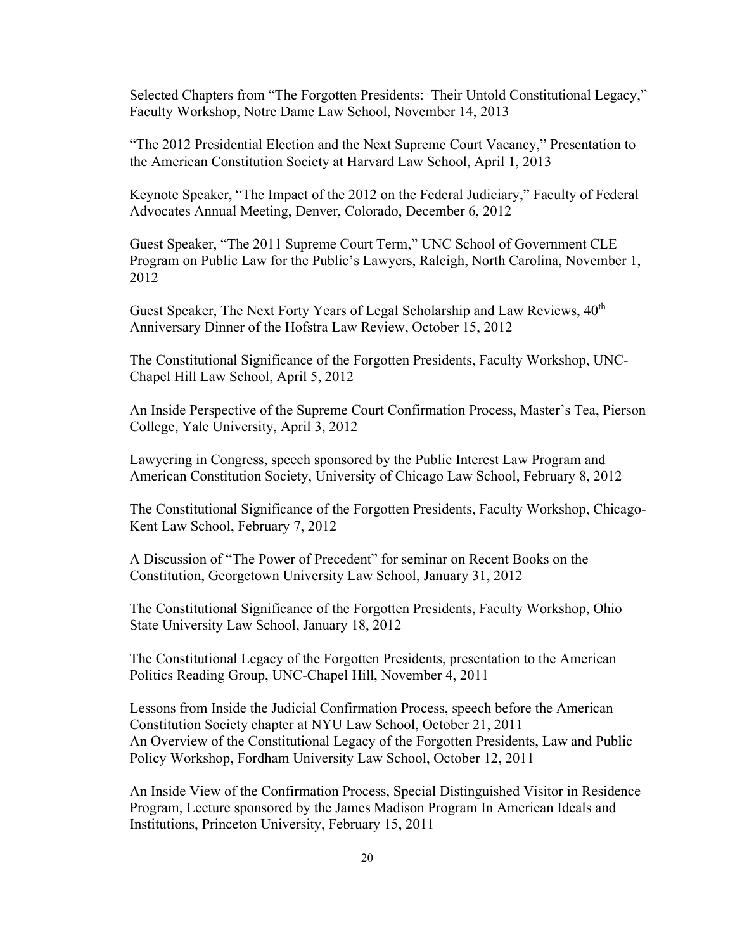Selected Chapters from "The Forgotten Presidents: Their Untold Constitutional Legacy," Faculty Workshop, Notre Dame Law School, November 14, 2013

"The 2012 Presidential Election and the Next Supreme Court Vacancy," Presentation to the American Constitution Society at Harvard Law School, April 1, 2013

Keynote Speaker, "The Impact of the 2012 on the Federal Judiciary," Faculty of Federal Advocates Annual Meeting, Denver, Colorado, December 6, 2012

Guest Speaker, "The 2011 Supreme Court Term," UNC School of Government CLE Program on Public Law for the Public's Lawyers, Raleigh, North Carolina, November 1, 2012

Guest Speaker, The Next Forty Years of Legal Scholarship and Law Reviews,  $40^{\text{th}}$ Anniversary Dinner of the Hofstra Law Review, October 15, 2012

The Constitutional Significance of the Forgotten Presidents, Faculty Workshop, UNC-Chapel Hill Law School, April 5, 2012

An Inside Perspective of the Supreme Court Confirmation Process, Master's Tea, Pierson College, Yale University, April 3, 2012

Lawyering in Congress, speech sponsored by the Public Interest Law Program and American Constitution Society, University of Chicago Law School, February 8, 2012

The Constitutional Significance of the Forgotten Presidents, Faculty Workshop, Chicago-Kent Law School, February 7, 2012

A Discussion of "The Power of Precedent" for seminar on Recent Books on the Constitution, Georgetown University Law School, January 31, 2012

The Constitutional Significance of the Forgotten Presidents, Faculty Workshop, Ohio State University Law School, January 18, 2012

The Constitutional Legacy of the Forgotten Presidents, presentation to the American Politics Reading Group, UNC-Chapel Hill, November 4, 2011

Lessons from Inside the Judicial Confirmation Process, speech before the American Constitution Society chapter at NYU Law School, October 21, 2011 An Overview of the Constitutional Legacy of the Forgotten Presidents, Law and Public Policy Workshop, Fordham University Law School, October 12, 2011

An Inside View of the Confirmation Process, Special Distinguished Visitor in Residence Program, Lecture sponsored by the James Madison Program In American Ideals and Institutions, Princeton University, February 15, 2011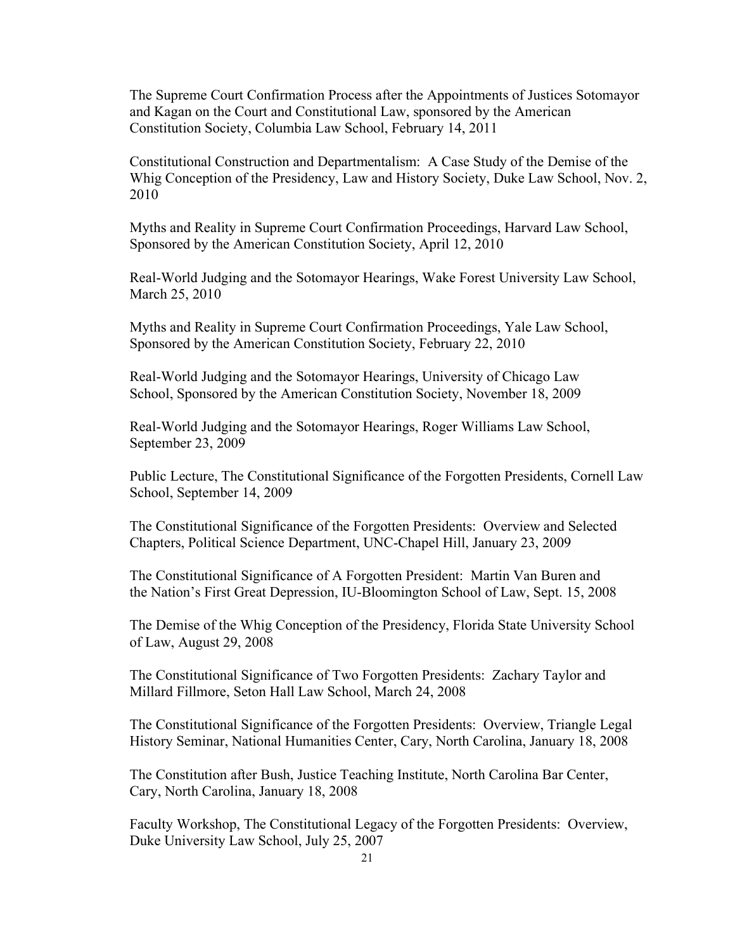The Supreme Court Confirmation Process after the Appointments of Justices Sotomayor and Kagan on the Court and Constitutional Law, sponsored by the American Constitution Society, Columbia Law School, February 14, 2011

Constitutional Construction and Departmentalism: A Case Study of the Demise of the Whig Conception of the Presidency, Law and History Society, Duke Law School, Nov. 2, 2010

Myths and Reality in Supreme Court Confirmation Proceedings, Harvard Law School, Sponsored by the American Constitution Society, April 12, 2010

Real-World Judging and the Sotomayor Hearings, Wake Forest University Law School, March 25, 2010

Myths and Reality in Supreme Court Confirmation Proceedings, Yale Law School, Sponsored by the American Constitution Society, February 22, 2010

Real-World Judging and the Sotomayor Hearings, University of Chicago Law School, Sponsored by the American Constitution Society, November 18, 2009

Real-World Judging and the Sotomayor Hearings, Roger Williams Law School, September 23, 2009

Public Lecture, The Constitutional Significance of the Forgotten Presidents, Cornell Law School, September 14, 2009

The Constitutional Significance of the Forgotten Presidents: Overview and Selected Chapters, Political Science Department, UNC-Chapel Hill, January 23, 2009

The Constitutional Significance of A Forgotten President: Martin Van Buren and the Nation's First Great Depression, IU-Bloomington School of Law, Sept. 15, 2008

The Demise of the Whig Conception of the Presidency, Florida State University School of Law, August 29, 2008

The Constitutional Significance of Two Forgotten Presidents: Zachary Taylor and Millard Fillmore, Seton Hall Law School, March 24, 2008

The Constitutional Significance of the Forgotten Presidents: Overview, Triangle Legal History Seminar, National Humanities Center, Cary, North Carolina, January 18, 2008

The Constitution after Bush, Justice Teaching Institute, North Carolina Bar Center, Cary, North Carolina, January 18, 2008

Faculty Workshop, The Constitutional Legacy of the Forgotten Presidents: Overview, Duke University Law School, July 25, 2007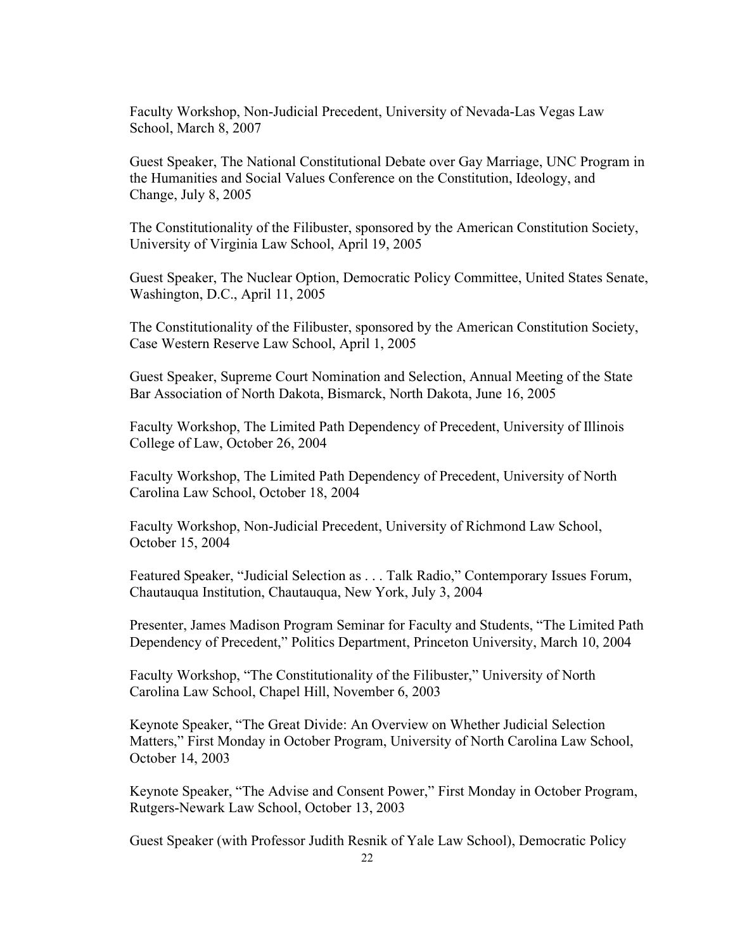Faculty Workshop, Non-Judicial Precedent, University of Nevada-Las Vegas Law School, March 8, 2007

Guest Speaker, The National Constitutional Debate over Gay Marriage, UNC Program in the Humanities and Social Values Conference on the Constitution, Ideology, and Change, July 8, 2005

The Constitutionality of the Filibuster, sponsored by the American Constitution Society, University of Virginia Law School, April 19, 2005

Guest Speaker, The Nuclear Option, Democratic Policy Committee, United States Senate, Washington, D.C., April 11, 2005

The Constitutionality of the Filibuster, sponsored by the American Constitution Society, Case Western Reserve Law School, April 1, 2005

Guest Speaker, Supreme Court Nomination and Selection, Annual Meeting of the State Bar Association of North Dakota, Bismarck, North Dakota, June 16, 2005

Faculty Workshop, The Limited Path Dependency of Precedent, University of Illinois College of Law, October 26, 2004

Faculty Workshop, The Limited Path Dependency of Precedent, University of North Carolina Law School, October 18, 2004

Faculty Workshop, Non-Judicial Precedent, University of Richmond Law School, October 15, 2004

Featured Speaker, "Judicial Selection as . . . Talk Radio," Contemporary Issues Forum, Chautauqua Institution, Chautauqua, New York, July 3, 2004

Presenter, James Madison Program Seminar for Faculty and Students, "The Limited Path Dependency of Precedent," Politics Department, Princeton University, March 10, 2004

Faculty Workshop, "The Constitutionality of the Filibuster," University of North Carolina Law School, Chapel Hill, November 6, 2003

Keynote Speaker, "The Great Divide: An Overview on Whether Judicial Selection Matters," First Monday in October Program, University of North Carolina Law School, October 14, 2003

Keynote Speaker, "The Advise and Consent Power," First Monday in October Program, Rutgers-Newark Law School, October 13, 2003

Guest Speaker (with Professor Judith Resnik of Yale Law School), Democratic Policy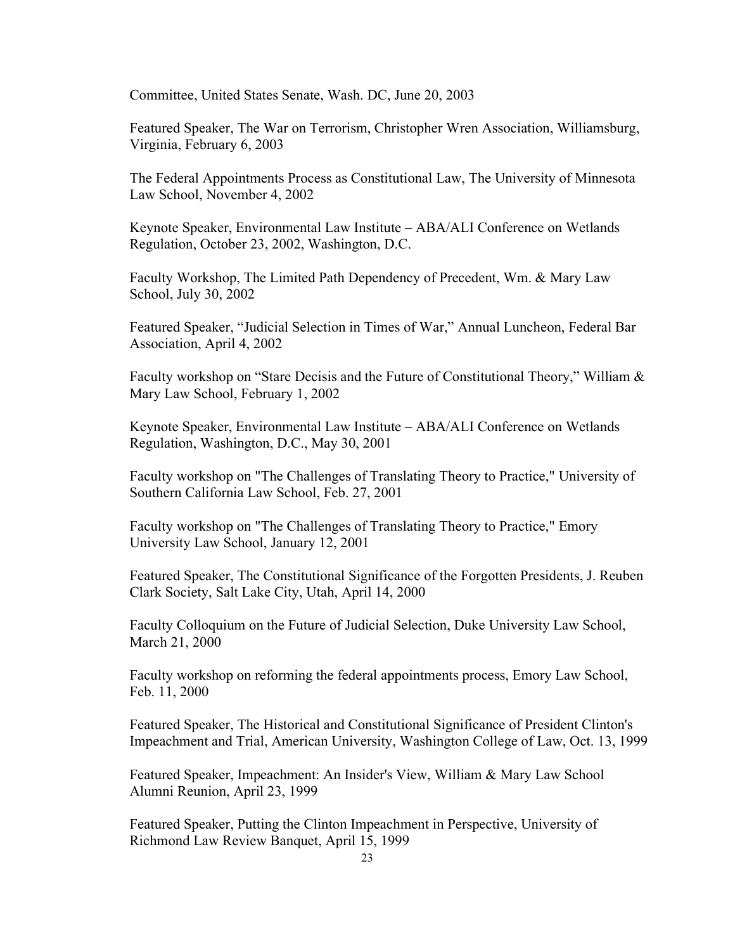Committee, United States Senate, Wash. DC, June 20, 2003

Featured Speaker, The War on Terrorism, Christopher Wren Association, Williamsburg, Virginia, February 6, 2003

The Federal Appointments Process as Constitutional Law, The University of Minnesota Law School, November 4, 2002

Keynote Speaker, Environmental Law Institute – ABA/ALI Conference on Wetlands Regulation, October 23, 2002, Washington, D.C.

Faculty Workshop, The Limited Path Dependency of Precedent, Wm. & Mary Law School, July 30, 2002

Featured Speaker, "Judicial Selection in Times of War," Annual Luncheon, Federal Bar Association, April 4, 2002

Faculty workshop on "Stare Decisis and the Future of Constitutional Theory," William & Mary Law School, February 1, 2002

Keynote Speaker, Environmental Law Institute – ABA/ALI Conference on Wetlands Regulation, Washington, D.C., May 30, 2001

Faculty workshop on "The Challenges of Translating Theory to Practice," University of Southern California Law School, Feb. 27, 2001

Faculty workshop on "The Challenges of Translating Theory to Practice," Emory University Law School, January 12, 2001

Featured Speaker, The Constitutional Significance of the Forgotten Presidents, J. Reuben Clark Society, Salt Lake City, Utah, April 14, 2000

Faculty Colloquium on the Future of Judicial Selection, Duke University Law School, March 21, 2000

Faculty workshop on reforming the federal appointments process, Emory Law School, Feb. 11, 2000

Featured Speaker, The Historical and Constitutional Significance of President Clinton's Impeachment and Trial, American University, Washington College of Law, Oct. 13, 1999

Featured Speaker, Impeachment: An Insider's View, William & Mary Law School Alumni Reunion, April 23, 1999

Featured Speaker, Putting the Clinton Impeachment in Perspective, University of Richmond Law Review Banquet, April 15, 1999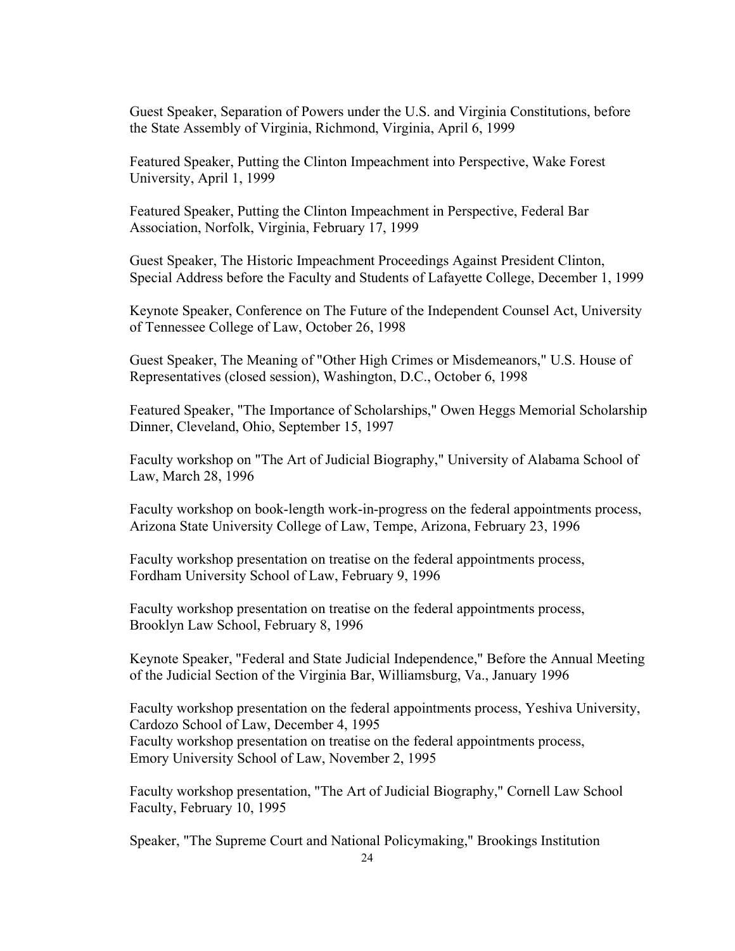Guest Speaker, Separation of Powers under the U.S. and Virginia Constitutions, before the State Assembly of Virginia, Richmond, Virginia, April 6, 1999

Featured Speaker, Putting the Clinton Impeachment into Perspective, Wake Forest University, April 1, 1999

Featured Speaker, Putting the Clinton Impeachment in Perspective, Federal Bar Association, Norfolk, Virginia, February 17, 1999

Guest Speaker, The Historic Impeachment Proceedings Against President Clinton, Special Address before the Faculty and Students of Lafayette College, December 1, 1999

Keynote Speaker, Conference on The Future of the Independent Counsel Act, University of Tennessee College of Law, October 26, 1998

Guest Speaker, The Meaning of "Other High Crimes or Misdemeanors," U.S. House of Representatives (closed session), Washington, D.C., October 6, 1998

Featured Speaker, "The Importance of Scholarships," Owen Heggs Memorial Scholarship Dinner, Cleveland, Ohio, September 15, 1997

Faculty workshop on "The Art of Judicial Biography," University of Alabama School of Law, March 28, 1996

Faculty workshop on book-length work-in-progress on the federal appointments process, Arizona State University College of Law, Tempe, Arizona, February 23, 1996

Faculty workshop presentation on treatise on the federal appointments process, Fordham University School of Law, February 9, 1996

Faculty workshop presentation on treatise on the federal appointments process, Brooklyn Law School, February 8, 1996

Keynote Speaker, "Federal and State Judicial Independence," Before the Annual Meeting of the Judicial Section of the Virginia Bar, Williamsburg, Va., January 1996

Faculty workshop presentation on the federal appointments process, Yeshiva University, Cardozo School of Law, December 4, 1995 Faculty workshop presentation on treatise on the federal appointments process, Emory University School of Law, November 2, 1995

Faculty workshop presentation, "The Art of Judicial Biography," Cornell Law School Faculty, February 10, 1995

Speaker, "The Supreme Court and National Policymaking," Brookings Institution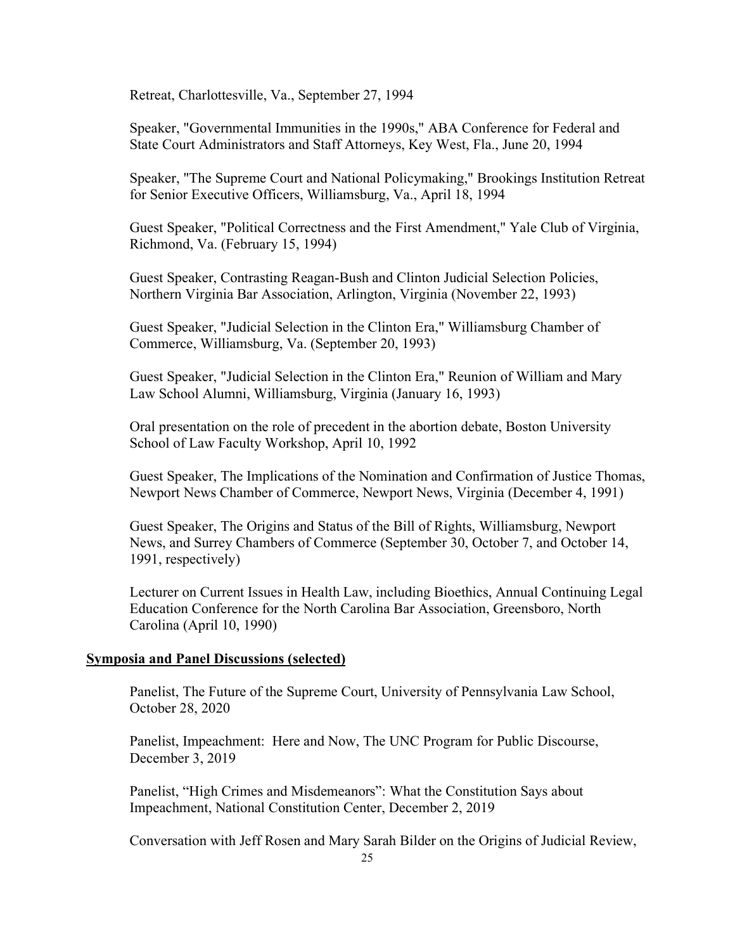Retreat, Charlottesville, Va., September 27, 1994

Speaker, "Governmental Immunities in the 1990s," ABA Conference for Federal and State Court Administrators and Staff Attorneys, Key West, Fla., June 20, 1994

Speaker, "The Supreme Court and National Policymaking," Brookings Institution Retreat for Senior Executive Officers, Williamsburg, Va., April 18, 1994

Guest Speaker, "Political Correctness and the First Amendment," Yale Club of Virginia, Richmond, Va. (February 15, 1994)

Guest Speaker, Contrasting Reagan-Bush and Clinton Judicial Selection Policies, Northern Virginia Bar Association, Arlington, Virginia (November 22, 1993)

Guest Speaker, "Judicial Selection in the Clinton Era," Williamsburg Chamber of Commerce, Williamsburg, Va. (September 20, 1993)

Guest Speaker, "Judicial Selection in the Clinton Era," Reunion of William and Mary Law School Alumni, Williamsburg, Virginia (January 16, 1993)

Oral presentation on the role of precedent in the abortion debate, Boston University School of Law Faculty Workshop, April 10, 1992

Guest Speaker, The Implications of the Nomination and Confirmation of Justice Thomas, Newport News Chamber of Commerce, Newport News, Virginia (December 4, 1991)

Guest Speaker, The Origins and Status of the Bill of Rights, Williamsburg, Newport News, and Surrey Chambers of Commerce (September 30, October 7, and October 14, 1991, respectively)

Lecturer on Current Issues in Health Law, including Bioethics, Annual Continuing Legal Education Conference for the North Carolina Bar Association, Greensboro, North Carolina (April 10, 1990)

#### **Symposia and Panel Discussions (selected)**

Panelist, The Future of the Supreme Court, University of Pennsylvania Law School, October 28, 2020

Panelist, Impeachment: Here and Now, The UNC Program for Public Discourse, December 3, 2019

Panelist, "High Crimes and Misdemeanors": What the Constitution Says about Impeachment, National Constitution Center, December 2, 2019

Conversation with Jeff Rosen and Mary Sarah Bilder on the Origins of Judicial Review,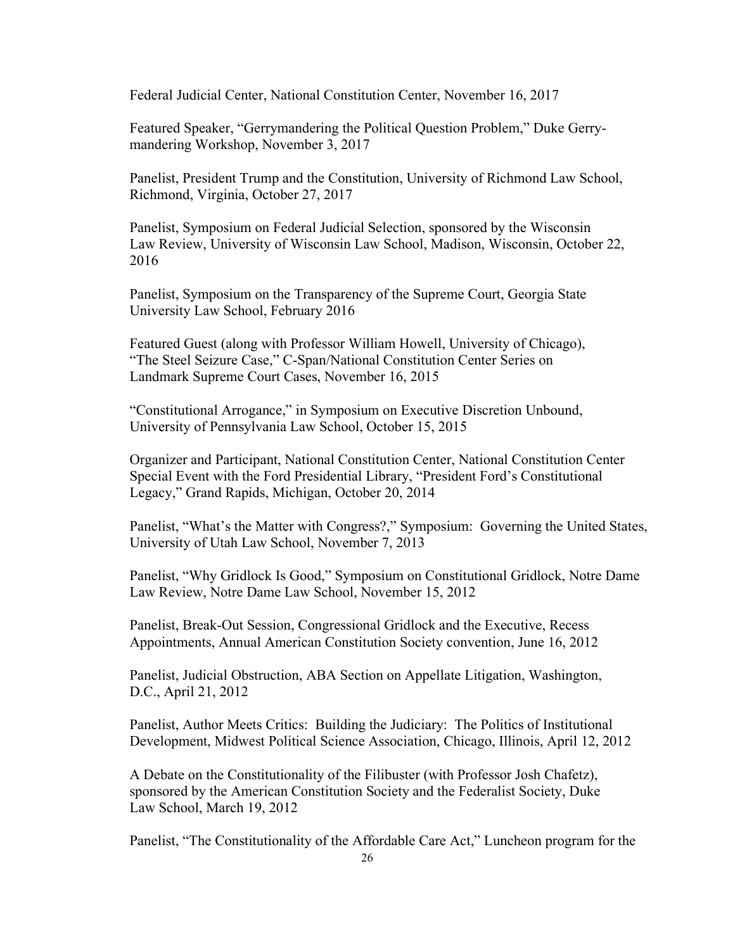Federal Judicial Center, National Constitution Center, November 16, 2017

Featured Speaker, "Gerrymandering the Political Question Problem," Duke Gerrymandering Workshop, November 3, 2017

Panelist, President Trump and the Constitution, University of Richmond Law School, Richmond, Virginia, October 27, 2017

Panelist, Symposium on Federal Judicial Selection, sponsored by the Wisconsin Law Review, University of Wisconsin Law School, Madison, Wisconsin, October 22, 2016

Panelist, Symposium on the Transparency of the Supreme Court, Georgia State University Law School, February 2016

Featured Guest (along with Professor William Howell, University of Chicago), "The Steel Seizure Case," C-Span/National Constitution Center Series on Landmark Supreme Court Cases, November 16, 2015

"Constitutional Arrogance," in Symposium on Executive Discretion Unbound, University of Pennsylvania Law School, October 15, 2015

Organizer and Participant, National Constitution Center, National Constitution Center Special Event with the Ford Presidential Library, "President Ford's Constitutional Legacy," Grand Rapids, Michigan, October 20, 2014

Panelist, "What's the Matter with Congress?," Symposium: Governing the United States, University of Utah Law School, November 7, 2013

Panelist, "Why Gridlock Is Good," Symposium on Constitutional Gridlock, Notre Dame Law Review, Notre Dame Law School, November 15, 2012

Panelist, Break-Out Session, Congressional Gridlock and the Executive, Recess Appointments, Annual American Constitution Society convention, June 16, 2012

Panelist, Judicial Obstruction, ABA Section on Appellate Litigation, Washington, D.C., April 21, 2012

Panelist, Author Meets Critics: Building the Judiciary: The Politics of Institutional Development, Midwest Political Science Association, Chicago, Illinois, April 12, 2012

A Debate on the Constitutionality of the Filibuster (with Professor Josh Chafetz), sponsored by the American Constitution Society and the Federalist Society, Duke Law School, March 19, 2012

Panelist, "The Constitutionality of the Affordable Care Act," Luncheon program for the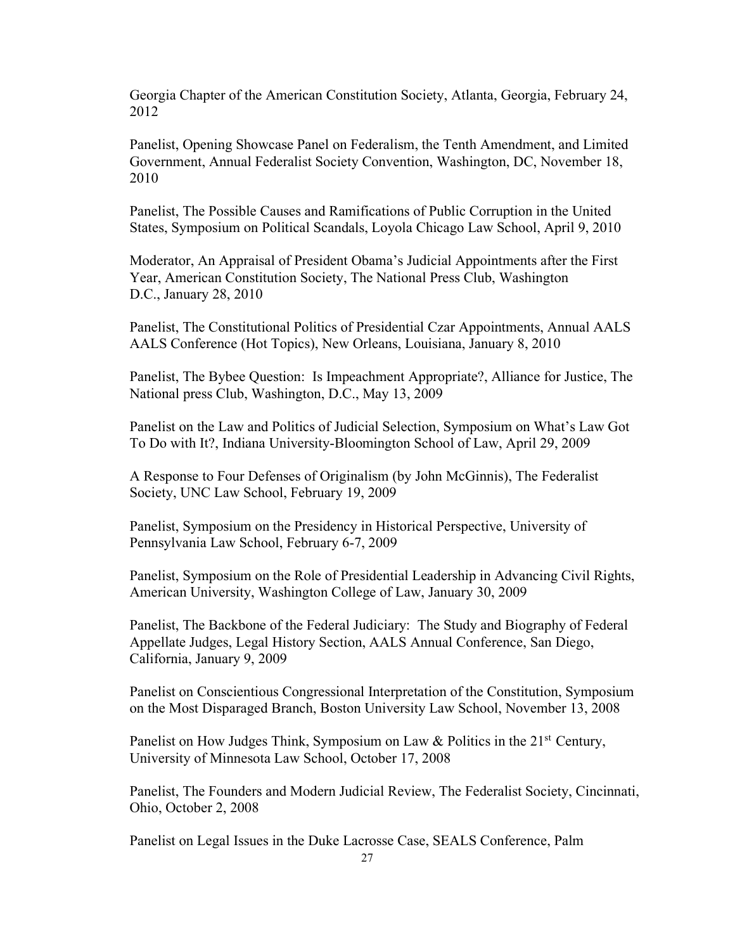Georgia Chapter of the American Constitution Society, Atlanta, Georgia, February 24, 2012

Panelist, Opening Showcase Panel on Federalism, the Tenth Amendment, and Limited Government, Annual Federalist Society Convention, Washington, DC, November 18, 2010

Panelist, The Possible Causes and Ramifications of Public Corruption in the United States, Symposium on Political Scandals, Loyola Chicago Law School, April 9, 2010

Moderator, An Appraisal of President Obama's Judicial Appointments after the First Year, American Constitution Society, The National Press Club, Washington D.C., January 28, 2010

Panelist, The Constitutional Politics of Presidential Czar Appointments, Annual AALS AALS Conference (Hot Topics), New Orleans, Louisiana, January 8, 2010

Panelist, The Bybee Question: Is Impeachment Appropriate?, Alliance for Justice, The National press Club, Washington, D.C., May 13, 2009

Panelist on the Law and Politics of Judicial Selection, Symposium on What's Law Got To Do with It?, Indiana University-Bloomington School of Law, April 29, 2009

A Response to Four Defenses of Originalism (by John McGinnis), The Federalist Society, UNC Law School, February 19, 2009

Panelist, Symposium on the Presidency in Historical Perspective, University of Pennsylvania Law School, February 6-7, 2009

Panelist, Symposium on the Role of Presidential Leadership in Advancing Civil Rights, American University, Washington College of Law, January 30, 2009

Panelist, The Backbone of the Federal Judiciary: The Study and Biography of Federal Appellate Judges, Legal History Section, AALS Annual Conference, San Diego, California, January 9, 2009

Panelist on Conscientious Congressional Interpretation of the Constitution, Symposium on the Most Disparaged Branch, Boston University Law School, November 13, 2008

Panelist on How Judges Think, Symposium on Law & Politics in the  $21<sup>st</sup>$  Century, University of Minnesota Law School, October 17, 2008

Panelist, The Founders and Modern Judicial Review, The Federalist Society, Cincinnati, Ohio, October 2, 2008

Panelist on Legal Issues in the Duke Lacrosse Case, SEALS Conference, Palm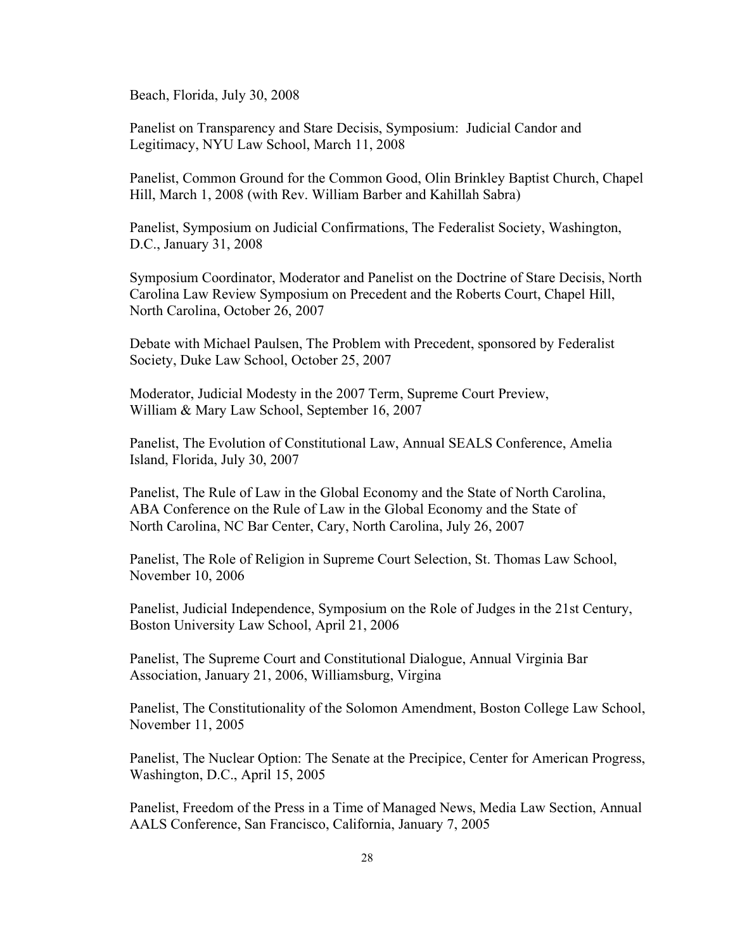Beach, Florida, July 30, 2008

Panelist on Transparency and Stare Decisis, Symposium: Judicial Candor and Legitimacy, NYU Law School, March 11, 2008

Panelist, Common Ground for the Common Good, Olin Brinkley Baptist Church, Chapel Hill, March 1, 2008 (with Rev. William Barber and Kahillah Sabra)

Panelist, Symposium on Judicial Confirmations, The Federalist Society, Washington, D.C., January 31, 2008

Symposium Coordinator, Moderator and Panelist on the Doctrine of Stare Decisis, North Carolina Law Review Symposium on Precedent and the Roberts Court, Chapel Hill, North Carolina, October 26, 2007

Debate with Michael Paulsen, The Problem with Precedent, sponsored by Federalist Society, Duke Law School, October 25, 2007

Moderator, Judicial Modesty in the 2007 Term, Supreme Court Preview, William & Mary Law School, September 16, 2007

Panelist, The Evolution of Constitutional Law, Annual SEALS Conference, Amelia Island, Florida, July 30, 2007

Panelist, The Rule of Law in the Global Economy and the State of North Carolina, ABA Conference on the Rule of Law in the Global Economy and the State of North Carolina, NC Bar Center, Cary, North Carolina, July 26, 2007

Panelist, The Role of Religion in Supreme Court Selection, St. Thomas Law School, November 10, 2006

Panelist, Judicial Independence, Symposium on the Role of Judges in the 21st Century, Boston University Law School, April 21, 2006

Panelist, The Supreme Court and Constitutional Dialogue, Annual Virginia Bar Association, January 21, 2006, Williamsburg, Virgina

Panelist, The Constitutionality of the Solomon Amendment, Boston College Law School, November 11, 2005

Panelist, The Nuclear Option: The Senate at the Precipice, Center for American Progress, Washington, D.C., April 15, 2005

Panelist, Freedom of the Press in a Time of Managed News, Media Law Section, Annual AALS Conference, San Francisco, California, January 7, 2005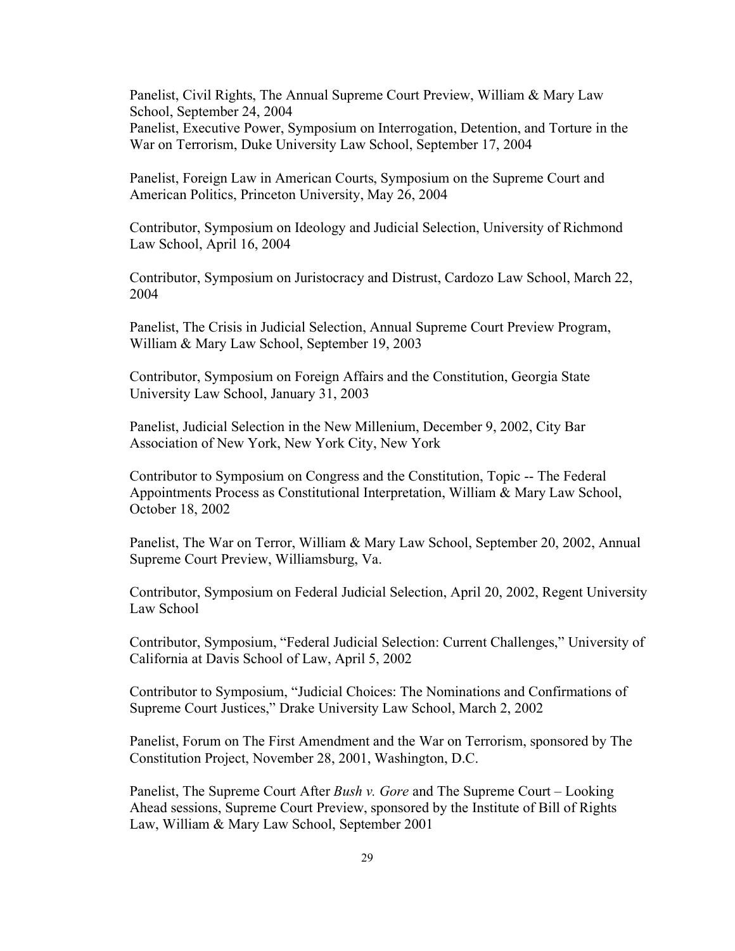Panelist, Civil Rights, The Annual Supreme Court Preview, William & Mary Law School, September 24, 2004 Panelist, Executive Power, Symposium on Interrogation, Detention, and Torture in the War on Terrorism, Duke University Law School, September 17, 2004

Panelist, Foreign Law in American Courts, Symposium on the Supreme Court and American Politics, Princeton University, May 26, 2004

Contributor, Symposium on Ideology and Judicial Selection, University of Richmond Law School, April 16, 2004

Contributor, Symposium on Juristocracy and Distrust, Cardozo Law School, March 22, 2004

Panelist, The Crisis in Judicial Selection, Annual Supreme Court Preview Program, William & Mary Law School, September 19, 2003

Contributor, Symposium on Foreign Affairs and the Constitution, Georgia State University Law School, January 31, 2003

Panelist, Judicial Selection in the New Millenium, December 9, 2002, City Bar Association of New York, New York City, New York

Contributor to Symposium on Congress and the Constitution, Topic -- The Federal Appointments Process as Constitutional Interpretation, William & Mary Law School, October 18, 2002

Panelist, The War on Terror, William & Mary Law School, September 20, 2002, Annual Supreme Court Preview, Williamsburg, Va.

Contributor, Symposium on Federal Judicial Selection, April 20, 2002, Regent University Law School

Contributor, Symposium, "Federal Judicial Selection: Current Challenges," University of California at Davis School of Law, April 5, 2002

Contributor to Symposium, "Judicial Choices: The Nominations and Confirmations of Supreme Court Justices," Drake University Law School, March 2, 2002

Panelist, Forum on The First Amendment and the War on Terrorism, sponsored by The Constitution Project, November 28, 2001, Washington, D.C.

Panelist, The Supreme Court After *Bush v. Gore* and The Supreme Court – Looking Ahead sessions, Supreme Court Preview, sponsored by the Institute of Bill of Rights Law, William & Mary Law School, September 2001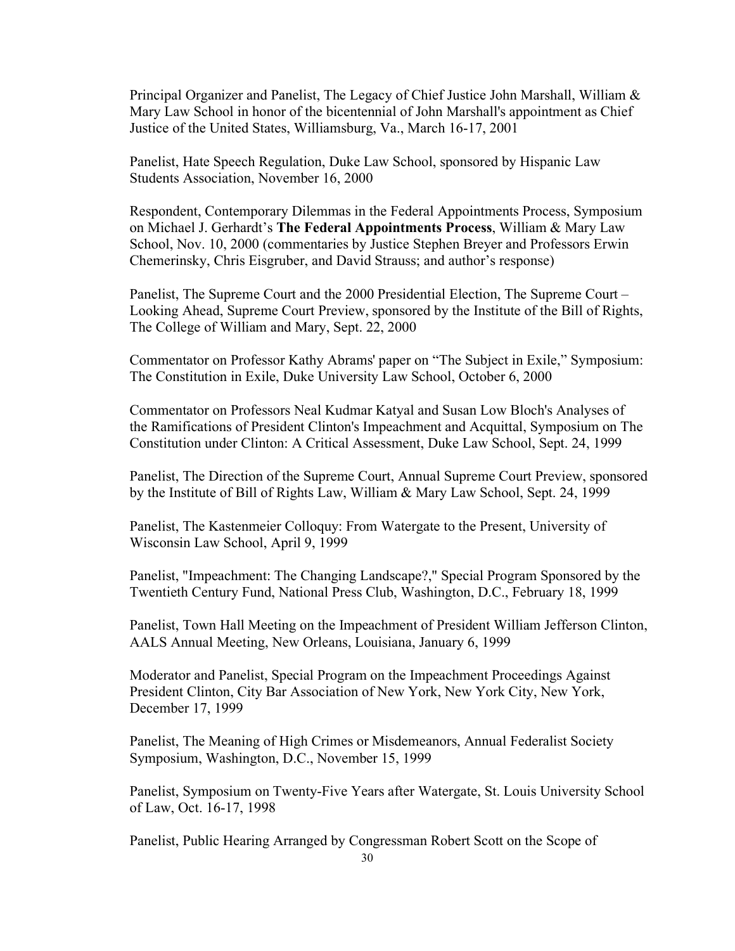Principal Organizer and Panelist, The Legacy of Chief Justice John Marshall, William & Mary Law School in honor of the bicentennial of John Marshall's appointment as Chief Justice of the United States, Williamsburg, Va., March 16-17, 2001

Panelist, Hate Speech Regulation, Duke Law School, sponsored by Hispanic Law Students Association, November 16, 2000

Respondent, Contemporary Dilemmas in the Federal Appointments Process, Symposium on Michael J. Gerhardt's **The Federal Appointments Process**, William & Mary Law School, Nov. 10, 2000 (commentaries by Justice Stephen Breyer and Professors Erwin Chemerinsky, Chris Eisgruber, and David Strauss; and author's response)

Panelist, The Supreme Court and the 2000 Presidential Election, The Supreme Court – Looking Ahead, Supreme Court Preview, sponsored by the Institute of the Bill of Rights, The College of William and Mary, Sept. 22, 2000

Commentator on Professor Kathy Abrams' paper on "The Subject in Exile," Symposium: The Constitution in Exile, Duke University Law School, October 6, 2000

Commentator on Professors Neal Kudmar Katyal and Susan Low Bloch's Analyses of the Ramifications of President Clinton's Impeachment and Acquittal, Symposium on The Constitution under Clinton: A Critical Assessment, Duke Law School, Sept. 24, 1999

Panelist, The Direction of the Supreme Court, Annual Supreme Court Preview, sponsored by the Institute of Bill of Rights Law, William & Mary Law School, Sept. 24, 1999

Panelist, The Kastenmeier Colloquy: From Watergate to the Present, University of Wisconsin Law School, April 9, 1999

Panelist, "Impeachment: The Changing Landscape?," Special Program Sponsored by the Twentieth Century Fund, National Press Club, Washington, D.C., February 18, 1999

Panelist, Town Hall Meeting on the Impeachment of President William Jefferson Clinton, AALS Annual Meeting, New Orleans, Louisiana, January 6, 1999

Moderator and Panelist, Special Program on the Impeachment Proceedings Against President Clinton, City Bar Association of New York, New York City, New York, December 17, 1999

Panelist, The Meaning of High Crimes or Misdemeanors, Annual Federalist Society Symposium, Washington, D.C., November 15, 1999

Panelist, Symposium on Twenty-Five Years after Watergate, St. Louis University School of Law, Oct. 16-17, 1998

Panelist, Public Hearing Arranged by Congressman Robert Scott on the Scope of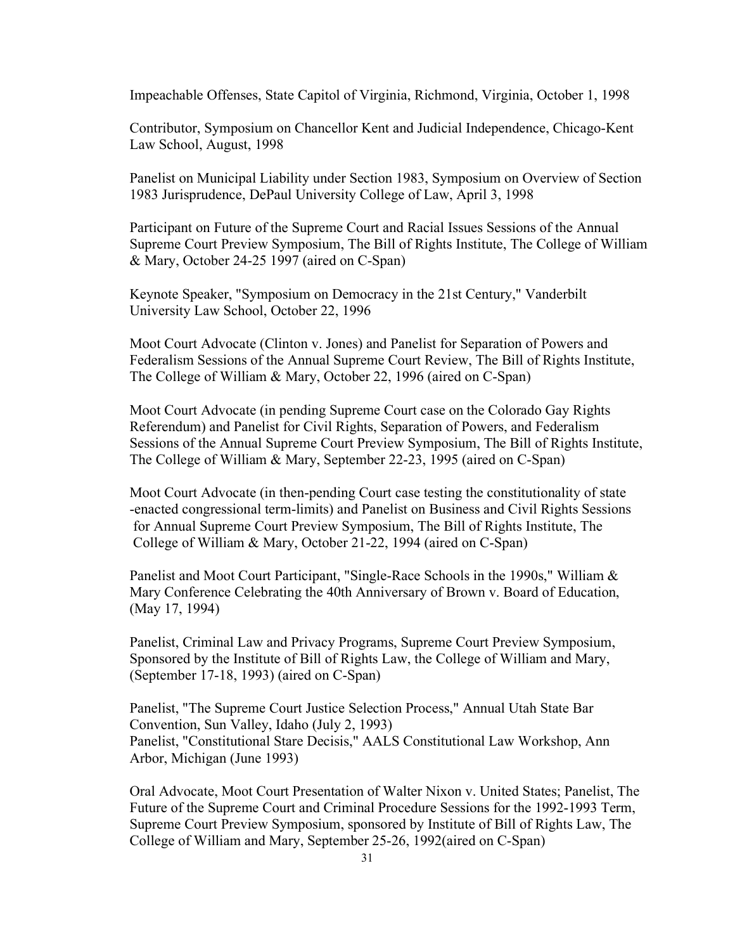Impeachable Offenses, State Capitol of Virginia, Richmond, Virginia, October 1, 1998

Contributor, Symposium on Chancellor Kent and Judicial Independence, Chicago-Kent Law School, August, 1998

Panelist on Municipal Liability under Section 1983, Symposium on Overview of Section 1983 Jurisprudence, DePaul University College of Law, April 3, 1998

Participant on Future of the Supreme Court and Racial Issues Sessions of the Annual Supreme Court Preview Symposium, The Bill of Rights Institute, The College of William & Mary, October 24-25 1997 (aired on C-Span)

Keynote Speaker, "Symposium on Democracy in the 21st Century," Vanderbilt University Law School, October 22, 1996

Moot Court Advocate (Clinton v. Jones) and Panelist for Separation of Powers and Federalism Sessions of the Annual Supreme Court Review, The Bill of Rights Institute, The College of William & Mary, October 22, 1996 (aired on C-Span)

Moot Court Advocate (in pending Supreme Court case on the Colorado Gay Rights Referendum) and Panelist for Civil Rights, Separation of Powers, and Federalism Sessions of the Annual Supreme Court Preview Symposium, The Bill of Rights Institute, The College of William & Mary, September 22-23, 1995 (aired on C-Span)

Moot Court Advocate (in then-pending Court case testing the constitutionality of state -enacted congressional term-limits) and Panelist on Business and Civil Rights Sessions for Annual Supreme Court Preview Symposium, The Bill of Rights Institute, The College of William & Mary, October 21-22, 1994 (aired on C-Span)

Panelist and Moot Court Participant, "Single-Race Schools in the 1990s," William & Mary Conference Celebrating the 40th Anniversary of Brown v. Board of Education, (May 17, 1994)

Panelist, Criminal Law and Privacy Programs, Supreme Court Preview Symposium, Sponsored by the Institute of Bill of Rights Law, the College of William and Mary, (September 17-18, 1993) (aired on C-Span)

Panelist, "The Supreme Court Justice Selection Process," Annual Utah State Bar Convention, Sun Valley, Idaho (July 2, 1993) Panelist, "Constitutional Stare Decisis," AALS Constitutional Law Workshop, Ann Arbor, Michigan (June 1993)

Oral Advocate, Moot Court Presentation of Walter Nixon v. United States; Panelist, The Future of the Supreme Court and Criminal Procedure Sessions for the 1992-1993 Term, Supreme Court Preview Symposium, sponsored by Institute of Bill of Rights Law, The College of William and Mary, September 25-26, 1992(aired on C-Span)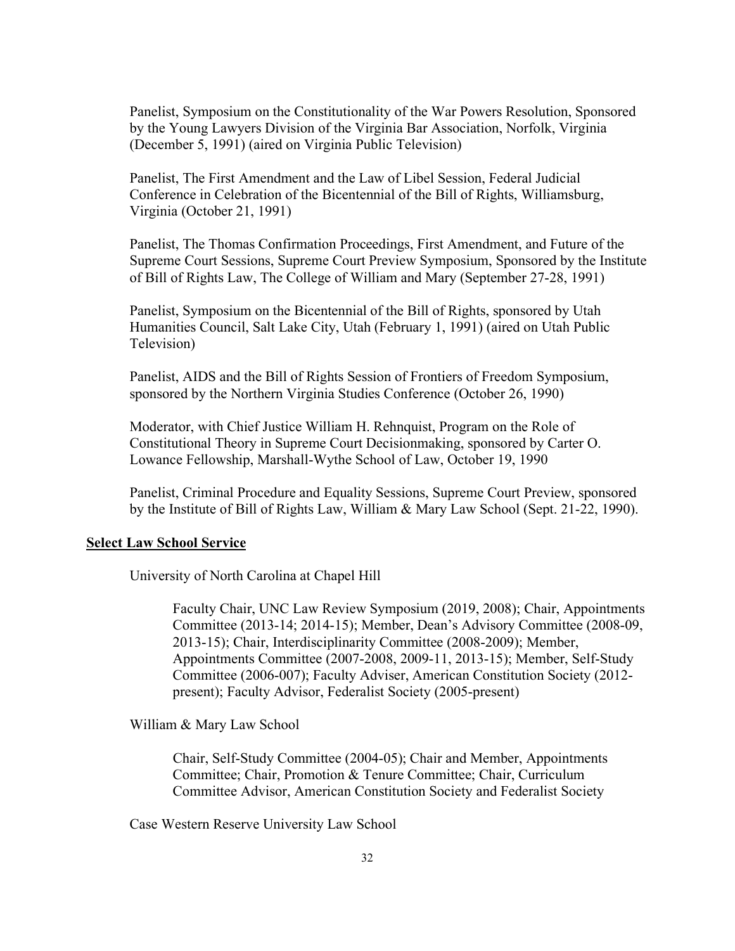Panelist, Symposium on the Constitutionality of the War Powers Resolution, Sponsored by the Young Lawyers Division of the Virginia Bar Association, Norfolk, Virginia (December 5, 1991) (aired on Virginia Public Television)

Panelist, The First Amendment and the Law of Libel Session, Federal Judicial Conference in Celebration of the Bicentennial of the Bill of Rights, Williamsburg, Virginia (October 21, 1991)

Panelist, The Thomas Confirmation Proceedings, First Amendment, and Future of the Supreme Court Sessions, Supreme Court Preview Symposium, Sponsored by the Institute of Bill of Rights Law, The College of William and Mary (September 27-28, 1991)

Panelist, Symposium on the Bicentennial of the Bill of Rights, sponsored by Utah Humanities Council, Salt Lake City, Utah (February 1, 1991) (aired on Utah Public Television)

Panelist, AIDS and the Bill of Rights Session of Frontiers of Freedom Symposium, sponsored by the Northern Virginia Studies Conference (October 26, 1990)

Moderator, with Chief Justice William H. Rehnquist, Program on the Role of Constitutional Theory in Supreme Court Decisionmaking, sponsored by Carter O. Lowance Fellowship, Marshall-Wythe School of Law, October 19, 1990

Panelist, Criminal Procedure and Equality Sessions, Supreme Court Preview, sponsored by the Institute of Bill of Rights Law, William & Mary Law School (Sept. 21-22, 1990).

### **Select Law School Service**

University of North Carolina at Chapel Hill

Faculty Chair, UNC Law Review Symposium (2019, 2008); Chair, Appointments Committee (2013-14; 2014-15); Member, Dean's Advisory Committee (2008-09, 2013-15); Chair, Interdisciplinarity Committee (2008-2009); Member, Appointments Committee (2007-2008, 2009-11, 2013-15); Member, Self-Study Committee (2006-007); Faculty Adviser, American Constitution Society (2012 present); Faculty Advisor, Federalist Society (2005-present)

William & Mary Law School

Chair, Self-Study Committee (2004-05); Chair and Member, Appointments Committee; Chair, Promotion & Tenure Committee; Chair, Curriculum Committee Advisor, American Constitution Society and Federalist Society

Case Western Reserve University Law School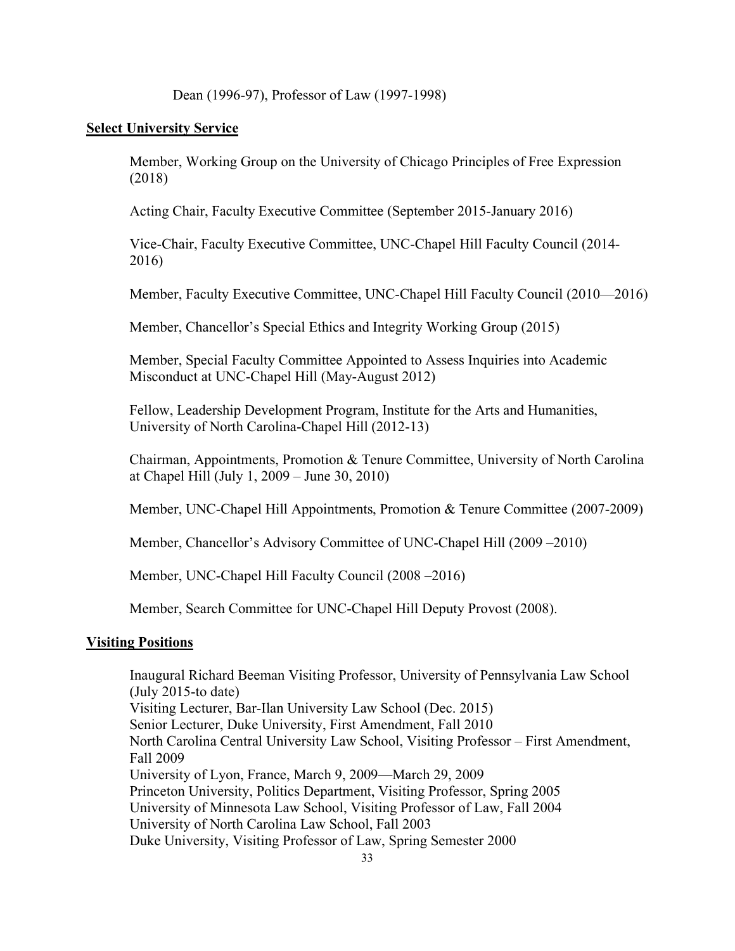Dean (1996-97), Professor of Law (1997-1998)

## **Select University Service**

Member, Working Group on the University of Chicago Principles of Free Expression (2018)

Acting Chair, Faculty Executive Committee (September 2015-January 2016)

Vice-Chair, Faculty Executive Committee, UNC-Chapel Hill Faculty Council (2014- 2016)

Member, Faculty Executive Committee, UNC-Chapel Hill Faculty Council (2010—2016)

Member, Chancellor's Special Ethics and Integrity Working Group (2015)

Member, Special Faculty Committee Appointed to Assess Inquiries into Academic Misconduct at UNC-Chapel Hill (May-August 2012)

Fellow, Leadership Development Program, Institute for the Arts and Humanities, University of North Carolina-Chapel Hill (2012-13)

Chairman, Appointments, Promotion & Tenure Committee, University of North Carolina at Chapel Hill (July 1, 2009 – June 30, 2010)

Member, UNC-Chapel Hill Appointments, Promotion & Tenure Committee (2007-2009)

Member, Chancellor's Advisory Committee of UNC-Chapel Hill (2009 –2010)

Member, UNC-Chapel Hill Faculty Council (2008 –2016)

Member, Search Committee for UNC-Chapel Hill Deputy Provost (2008).

## **Visiting Positions**

Inaugural Richard Beeman Visiting Professor, University of Pennsylvania Law School (July 2015-to date) Visiting Lecturer, Bar-Ilan University Law School (Dec. 2015) Senior Lecturer, Duke University, First Amendment, Fall 2010 North Carolina Central University Law School, Visiting Professor – First Amendment, Fall 2009 University of Lyon, France, March 9, 2009—March 29, 2009 Princeton University, Politics Department, Visiting Professor, Spring 2005 University of Minnesota Law School, Visiting Professor of Law, Fall 2004 University of North Carolina Law School, Fall 2003 Duke University, Visiting Professor of Law, Spring Semester 2000